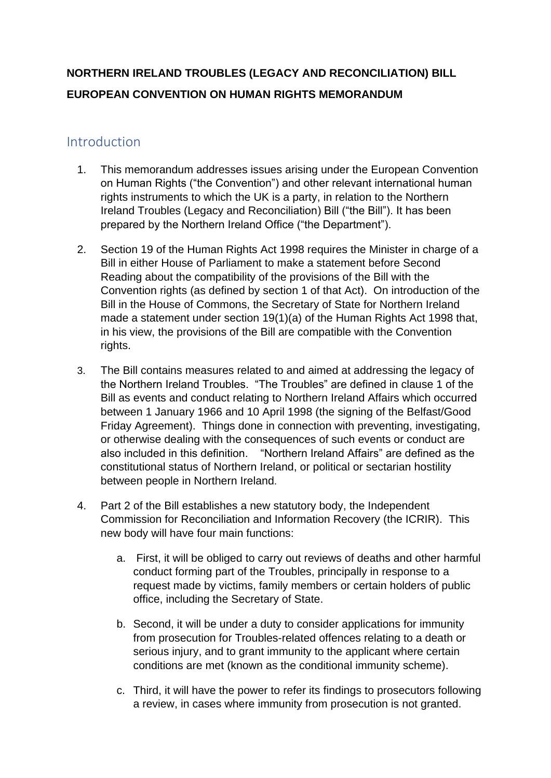# **NORTHERN IRELAND TROUBLES (LEGACY AND RECONCILIATION) BILL EUROPEAN CONVENTION ON HUMAN RIGHTS MEMORANDUM**

## Introduction

- 1. This memorandum addresses issues arising under the European Convention on Human Rights ("the Convention") and other relevant international human rights instruments to which the UK is a party, in relation to the Northern Ireland Troubles (Legacy and Reconciliation) Bill ("the Bill"). It has been prepared by the Northern Ireland Office ("the Department").
- 2. Section 19 of the Human Rights Act 1998 requires the Minister in charge of a Bill in either House of Parliament to make a statement before Second Reading about the compatibility of the provisions of the Bill with the Convention rights (as defined by section 1 of that Act). On introduction of the Bill in the House of Commons, the Secretary of State for Northern Ireland made a statement under section 19(1)(a) of the Human Rights Act 1998 that, in his view, the provisions of the Bill are compatible with the Convention rights.
- 3. The Bill contains measures related to and aimed at addressing the legacy of the Northern Ireland Troubles. "The Troubles" are defined in clause 1 of the Bill as events and conduct relating to Northern Ireland Affairs which occurred between 1 January 1966 and 10 April 1998 (the signing of the Belfast/Good Friday Agreement). Things done in connection with preventing, investigating, or otherwise dealing with the consequences of such events or conduct are also included in this definition. "Northern Ireland Affairs" are defined as the constitutional status of Northern Ireland, or political or sectarian hostility between people in Northern Ireland.
- 4. Part 2 of the Bill establishes a new statutory body, the Independent Commission for Reconciliation and Information Recovery (the ICRIR). This new body will have four main functions:
	- a. First, it will be obliged to carry out reviews of deaths and other harmful conduct forming part of the Troubles, principally in response to a request made by victims, family members or certain holders of public office, including the Secretary of State.
	- b. Second, it will be under a duty to consider applications for immunity from prosecution for Troubles-related offences relating to a death or serious injury, and to grant immunity to the applicant where certain conditions are met (known as the conditional immunity scheme).
	- c. Third, it will have the power to refer its findings to prosecutors following a review, in cases where immunity from prosecution is not granted.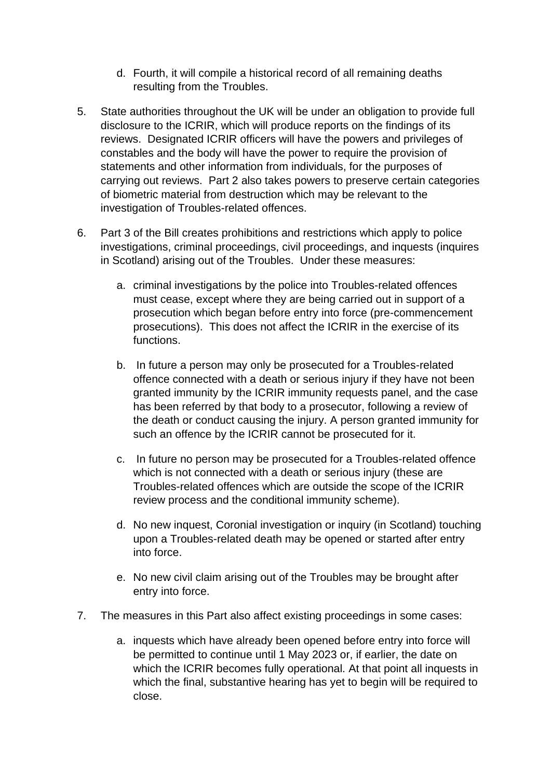- d. Fourth, it will compile a historical record of all remaining deaths resulting from the Troubles.
- 5. State authorities throughout the UK will be under an obligation to provide full disclosure to the ICRIR, which will produce reports on the findings of its reviews. Designated ICRIR officers will have the powers and privileges of constables and the body will have the power to require the provision of statements and other information from individuals, for the purposes of carrying out reviews. Part 2 also takes powers to preserve certain categories of biometric material from destruction which may be relevant to the investigation of Troubles-related offences.
- 6. Part 3 of the Bill creates prohibitions and restrictions which apply to police investigations, criminal proceedings, civil proceedings, and inquests (inquires in Scotland) arising out of the Troubles. Under these measures:
	- a. criminal investigations by the police into Troubles-related offences must cease, except where they are being carried out in support of a prosecution which began before entry into force (pre-commencement prosecutions). This does not affect the ICRIR in the exercise of its functions.
	- b. In future a person may only be prosecuted for a Troubles-related offence connected with a death or serious injury if they have not been granted immunity by the ICRIR immunity requests panel, and the case has been referred by that body to a prosecutor, following a review of the death or conduct causing the injury. A person granted immunity for such an offence by the ICRIR cannot be prosecuted for it.
	- c. In future no person may be prosecuted for a Troubles-related offence which is not connected with a death or serious injury (these are Troubles-related offences which are outside the scope of the ICRIR review process and the conditional immunity scheme).
	- d. No new inquest, Coronial investigation or inquiry (in Scotland) touching upon a Troubles-related death may be opened or started after entry into force.
	- e. No new civil claim arising out of the Troubles may be brought after entry into force.
- 7. The measures in this Part also affect existing proceedings in some cases:
	- a. inquests which have already been opened before entry into force will be permitted to continue until 1 May 2023 or, if earlier, the date on which the ICRIR becomes fully operational. At that point all inquests in which the final, substantive hearing has yet to begin will be required to close.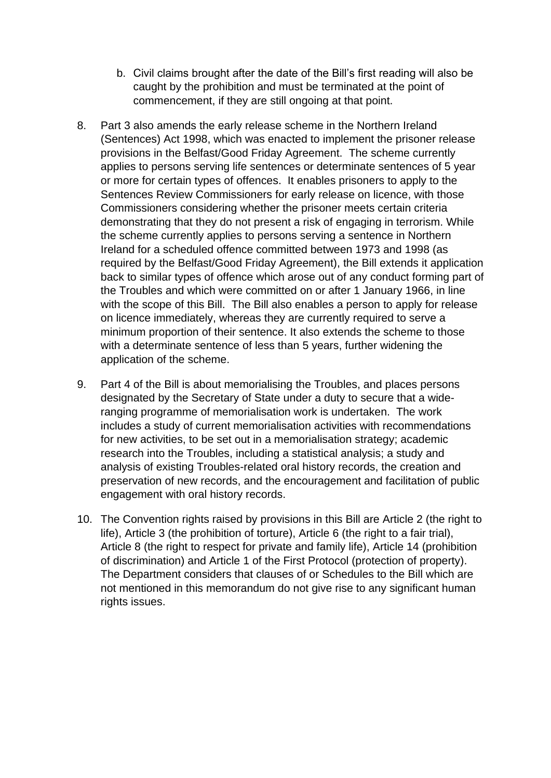- b. Civil claims brought after the date of the Bill's first reading will also be caught by the prohibition and must be terminated at the point of commencement, if they are still ongoing at that point.
- 8. Part 3 also amends the early release scheme in the Northern Ireland (Sentences) Act 1998, which was enacted to implement the prisoner release provisions in the Belfast/Good Friday Agreement. The scheme currently applies to persons serving life sentences or determinate sentences of 5 year or more for certain types of offences. It enables prisoners to apply to the Sentences Review Commissioners for early release on licence, with those Commissioners considering whether the prisoner meets certain criteria demonstrating that they do not present a risk of engaging in terrorism. While the scheme currently applies to persons serving a sentence in Northern Ireland for a scheduled offence committed between 1973 and 1998 (as required by the Belfast/Good Friday Agreement), the Bill extends it application back to similar types of offence which arose out of any conduct forming part of the Troubles and which were committed on or after 1 January 1966, in line with the scope of this Bill. The Bill also enables a person to apply for release on licence immediately, whereas they are currently required to serve a minimum proportion of their sentence. It also extends the scheme to those with a determinate sentence of less than 5 years, further widening the application of the scheme.
- 9. Part 4 of the Bill is about memorialising the Troubles, and places persons designated by the Secretary of State under a duty to secure that a wideranging programme of memorialisation work is undertaken. The work includes a study of current memorialisation activities with recommendations for new activities, to be set out in a memorialisation strategy; academic research into the Troubles, including a statistical analysis; a study and analysis of existing Troubles-related oral history records, the creation and preservation of new records, and the encouragement and facilitation of public engagement with oral history records.
- 10. The Convention rights raised by provisions in this Bill are Article 2 (the right to life), Article 3 (the prohibition of torture), Article 6 (the right to a fair trial), Article 8 (the right to respect for private and family life), Article 14 (prohibition of discrimination) and Article 1 of the First Protocol (protection of property). The Department considers that clauses of or Schedules to the Bill which are not mentioned in this memorandum do not give rise to any significant human rights issues.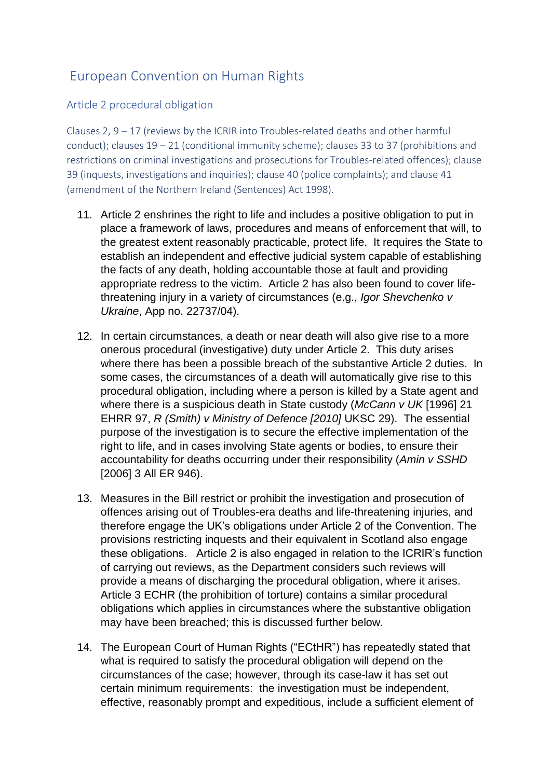# European Convention on Human Rights

Article 2 procedural obligation

Clauses 2, 9 – 17 (reviews by the ICRIR into Troubles-related deaths and other harmful conduct); clauses 19 – 21 (conditional immunity scheme); clauses 33 to 37 (prohibitions and restrictions on criminal investigations and prosecutions for Troubles-related offences); clause 39 (inquests, investigations and inquiries); clause 40 (police complaints); and clause 41 (amendment of the Northern Ireland (Sentences) Act 1998).

- 11. Article 2 enshrines the right to life and includes a positive obligation to put in place a framework of laws, procedures and means of enforcement that will, to the greatest extent reasonably practicable, protect life. It requires the State to establish an independent and effective judicial system capable of establishing the facts of any death, holding accountable those at fault and providing appropriate redress to the victim. Article 2 has also been found to cover lifethreatening injury in a variety of circumstances (e.g., *Igor Shevchenko v Ukraine*, App no. 22737/04).
- 12. In certain circumstances, a death or near death will also give rise to a more onerous procedural (investigative) duty under Article 2. This duty arises where there has been a possible breach of the substantive Article 2 duties. In some cases, the circumstances of a death will automatically give rise to this procedural obligation, including where a person is killed by a State agent and where there is a suspicious death in State custody (*McCann v UK* [1996] 21 EHRR 97, *R (Smith) v Ministry of Defence [2010]* UKSC 29). The essential purpose of the investigation is to secure the effective implementation of the right to life, and in cases involving State agents or bodies, to ensure their accountability for deaths occurring under their responsibility (*Amin v SSHD*  [2006] 3 All ER 946).
- 13. Measures in the Bill restrict or prohibit the investigation and prosecution of offences arising out of Troubles-era deaths and life-threatening injuries, and therefore engage the UK's obligations under Article 2 of the Convention. The provisions restricting inquests and their equivalent in Scotland also engage these obligations. Article 2 is also engaged in relation to the ICRIR's function of carrying out reviews, as the Department considers such reviews will provide a means of discharging the procedural obligation, where it arises. Article 3 ECHR (the prohibition of torture) contains a similar procedural obligations which applies in circumstances where the substantive obligation may have been breached; this is discussed further below.
- 14. The European Court of Human Rights ("ECtHR") has repeatedly stated that what is required to satisfy the procedural obligation will depend on the circumstances of the case; however, through its case-law it has set out certain minimum requirements: the investigation must be independent, effective, reasonably prompt and expeditious, include a sufficient element of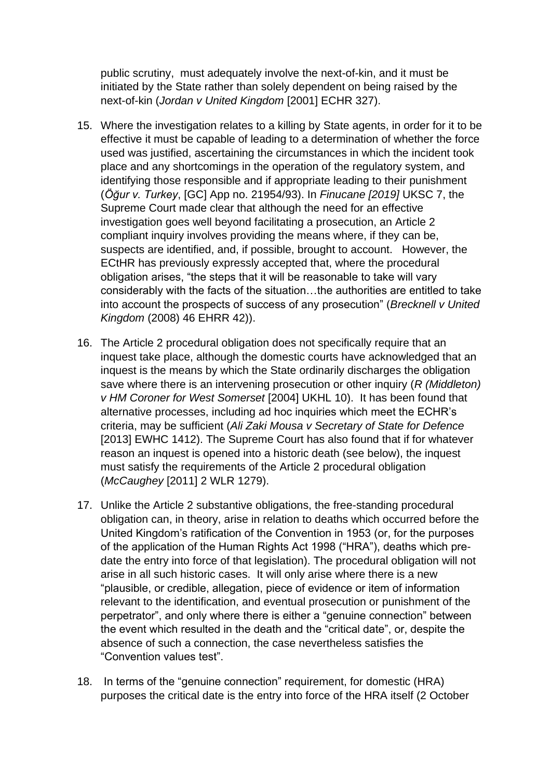public scrutiny, must adequately involve the next-of-kin, and it must be initiated by the State rather than solely dependent on being raised by the next-of-kin (*Jordan v United Kingdom* [2001] ECHR 327).

- 15. Where the investigation relates to a killing by State agents, in order for it to be effective it must be capable of leading to a determination of whether the force used was justified, ascertaining the circumstances in which the incident took place and any shortcomings in the operation of the regulatory system, and identifying those responsible and if appropriate leading to their punishment (*Öğur v. Turkey*, [GC] App no. 21954/93). In *Finucane [2019]* UKSC 7, the Supreme Court made clear that although the need for an effective investigation goes well beyond facilitating a prosecution, an Article 2 compliant inquiry involves providing the means where, if they can be, suspects are identified, and, if possible, brought to account. However, the ECtHR has previously expressly accepted that, where the procedural obligation arises, "the steps that it will be reasonable to take will vary considerably with the facts of the situation…the authorities are entitled to take into account the prospects of success of any prosecution" (*Brecknell v United Kingdom* (2008) 46 EHRR 42)).
- 16. The Article 2 procedural obligation does not specifically require that an inquest take place, although the domestic courts have acknowledged that an inquest is the means by which the State ordinarily discharges the obligation save where there is an intervening prosecution or other inquiry (*R (Middleton) v HM Coroner for West Somerset* [2004] UKHL 10). It has been found that alternative processes, including ad hoc inquiries which meet the ECHR's criteria, may be sufficient (*Ali Zaki Mousa v Secretary of State for Defence* [2013] EWHC 1412). The Supreme Court has also found that if for whatever reason an inquest is opened into a historic death (see below), the inquest must satisfy the requirements of the Article 2 procedural obligation (*McCaughey* [2011] 2 WLR 1279).
- 17. Unlike the Article 2 substantive obligations, the free-standing procedural obligation can, in theory, arise in relation to deaths which occurred before the United Kingdom's ratification of the Convention in 1953 (or, for the purposes of the application of the Human Rights Act 1998 ("HRA"), deaths which predate the entry into force of that legislation). The procedural obligation will not arise in all such historic cases. It will only arise where there is a new "plausible, or credible, allegation, piece of evidence or item of information relevant to the identification, and eventual prosecution or punishment of the perpetrator", and only where there is either a "genuine connection" between the event which resulted in the death and the "critical date", or, despite the absence of such a connection, the case nevertheless satisfies the "Convention values test".
- 18. In terms of the "genuine connection" requirement, for domestic (HRA) purposes the critical date is the entry into force of the HRA itself (2 October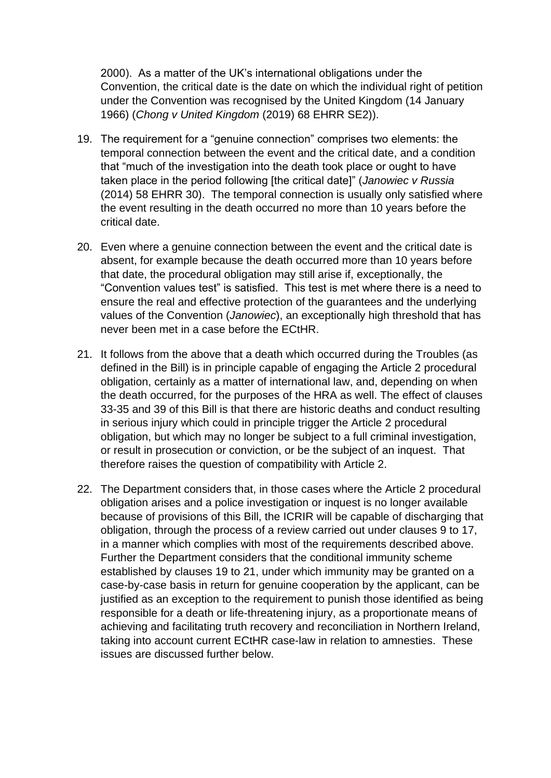2000). As a matter of the UK's international obligations under the Convention, the critical date is the date on which the individual right of petition under the Convention was recognised by the United Kingdom (14 January 1966) (*Chong v United Kingdom* (2019) 68 EHRR SE2)).

- 19. The requirement for a "genuine connection" comprises two elements: the temporal connection between the event and the critical date, and a condition that "much of the investigation into the death took place or ought to have taken place in the period following [the critical date]" (*Janowiec v Russia* (2014) 58 EHRR 30). The temporal connection is usually only satisfied where the event resulting in the death occurred no more than 10 years before the critical date.
- 20. Even where a genuine connection between the event and the critical date is absent, for example because the death occurred more than 10 years before that date, the procedural obligation may still arise if, exceptionally, the "Convention values test" is satisfied. This test is met where there is a need to ensure the real and effective protection of the guarantees and the underlying values of the Convention (*Janowiec*), an exceptionally high threshold that has never been met in a case before the ECtHR.
- 21. It follows from the above that a death which occurred during the Troubles (as defined in the Bill) is in principle capable of engaging the Article 2 procedural obligation, certainly as a matter of international law, and, depending on when the death occurred, for the purposes of the HRA as well. The effect of clauses 33-35 and 39 of this Bill is that there are historic deaths and conduct resulting in serious injury which could in principle trigger the Article 2 procedural obligation, but which may no longer be subject to a full criminal investigation, or result in prosecution or conviction, or be the subject of an inquest. That therefore raises the question of compatibility with Article 2.
- 22. The Department considers that, in those cases where the Article 2 procedural obligation arises and a police investigation or inquest is no longer available because of provisions of this Bill, the ICRIR will be capable of discharging that obligation, through the process of a review carried out under clauses 9 to 17, in a manner which complies with most of the requirements described above. Further the Department considers that the conditional immunity scheme established by clauses 19 to 21, under which immunity may be granted on a case-by-case basis in return for genuine cooperation by the applicant, can be justified as an exception to the requirement to punish those identified as being responsible for a death or life-threatening injury, as a proportionate means of achieving and facilitating truth recovery and reconciliation in Northern Ireland, taking into account current ECtHR case-law in relation to amnesties. These issues are discussed further below.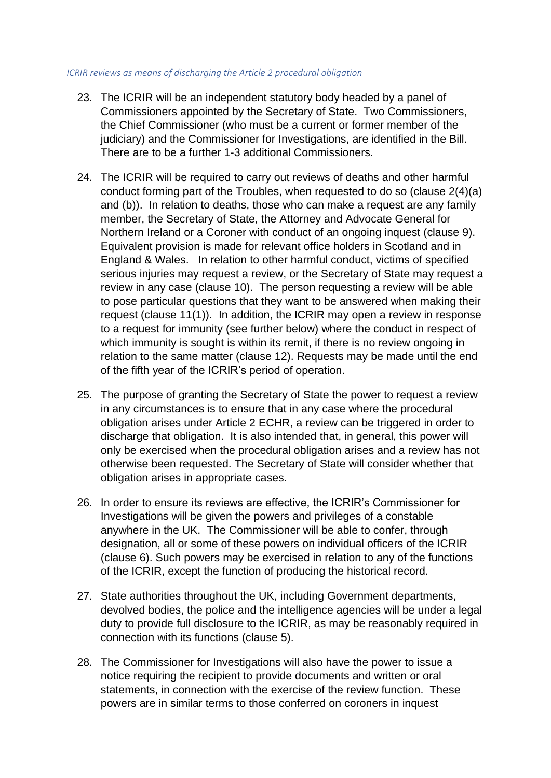#### *ICRIR reviews as means of discharging the Article 2 procedural obligation*

- 23. The ICRIR will be an independent statutory body headed by a panel of Commissioners appointed by the Secretary of State. Two Commissioners, the Chief Commissioner (who must be a current or former member of the judiciary) and the Commissioner for Investigations, are identified in the Bill. There are to be a further 1-3 additional Commissioners.
- 24. The ICRIR will be required to carry out reviews of deaths and other harmful conduct forming part of the Troubles, when requested to do so (clause 2(4)(a) and (b)). In relation to deaths, those who can make a request are any family member, the Secretary of State, the Attorney and Advocate General for Northern Ireland or a Coroner with conduct of an ongoing inquest (clause 9). Equivalent provision is made for relevant office holders in Scotland and in England & Wales. In relation to other harmful conduct, victims of specified serious injuries may request a review, or the Secretary of State may request a review in any case (clause 10). The person requesting a review will be able to pose particular questions that they want to be answered when making their request (clause 11(1)). In addition, the ICRIR may open a review in response to a request for immunity (see further below) where the conduct in respect of which immunity is sought is within its remit, if there is no review ongoing in relation to the same matter (clause 12). Requests may be made until the end of the fifth year of the ICRIR's period of operation.
- 25. The purpose of granting the Secretary of State the power to request a review in any circumstances is to ensure that in any case where the procedural obligation arises under Article 2 ECHR, a review can be triggered in order to discharge that obligation. It is also intended that, in general, this power will only be exercised when the procedural obligation arises and a review has not otherwise been requested. The Secretary of State will consider whether that obligation arises in appropriate cases.
- 26. In order to ensure its reviews are effective, the ICRIR's Commissioner for Investigations will be given the powers and privileges of a constable anywhere in the UK. The Commissioner will be able to confer, through designation, all or some of these powers on individual officers of the ICRIR (clause 6). Such powers may be exercised in relation to any of the functions of the ICRIR, except the function of producing the historical record.
- 27. State authorities throughout the UK, including Government departments, devolved bodies, the police and the intelligence agencies will be under a legal duty to provide full disclosure to the ICRIR, as may be reasonably required in connection with its functions (clause 5).
- 28. The Commissioner for Investigations will also have the power to issue a notice requiring the recipient to provide documents and written or oral statements, in connection with the exercise of the review function. These powers are in similar terms to those conferred on coroners in inquest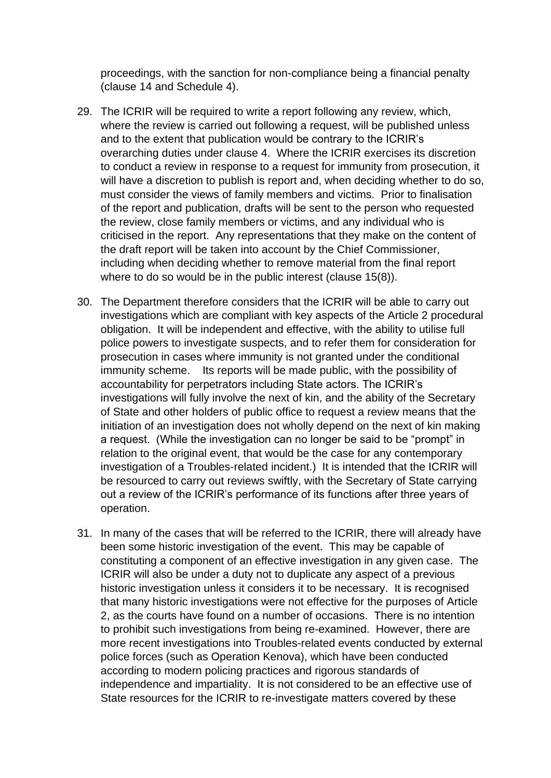proceedings, with the sanction for non-compliance being a financial penalty (clause 14 and Schedule 4).

- 29. The ICRIR will be required to write a report following any review, which, where the review is carried out following a request, will be published unless and to the extent that publication would be contrary to the ICRIR's overarching duties under clause 4. Where the ICRIR exercises its discretion to conduct a review in response to a request for immunity from prosecution, it will have a discretion to publish is report and, when deciding whether to do so, must consider the views of family members and victims. Prior to finalisation of the report and publication, drafts will be sent to the person who requested the review, close family members or victims, and any individual who is criticised in the report. Any representations that they make on the content of the draft report will be taken into account by the Chief Commissioner, including when deciding whether to remove material from the final report where to do so would be in the public interest (clause 15(8)).
- 30. The Department therefore considers that the ICRIR will be able to carry out investigations which are compliant with key aspects of the Article 2 procedural obligation. It will be independent and effective, with the ability to utilise full police powers to investigate suspects, and to refer them for consideration for prosecution in cases where immunity is not granted under the conditional immunity scheme. Its reports will be made public, with the possibility of accountability for perpetrators including State actors. The ICRIR's investigations will fully involve the next of kin, and the ability of the Secretary of State and other holders of public office to request a review means that the initiation of an investigation does not wholly depend on the next of kin making a request. (While the investigation can no longer be said to be "prompt" in relation to the original event, that would be the case for any contemporary investigation of a Troubles-related incident.) It is intended that the ICRIR will be resourced to carry out reviews swiftly, with the Secretary of State carrying out a review of the ICRIR's performance of its functions after three years of operation.
- 31. In many of the cases that will be referred to the ICRIR, there will already have been some historic investigation of the event. This may be capable of constituting a component of an effective investigation in any given case. The ICRIR will also be under a duty not to duplicate any aspect of a previous historic investigation unless it considers it to be necessary. It is recognised that many historic investigations were not effective for the purposes of Article 2, as the courts have found on a number of occasions. There is no intention to prohibit such investigations from being re-examined. However, there are more recent investigations into Troubles-related events conducted by external police forces (such as Operation Kenova), which have been conducted according to modern policing practices and rigorous standards of independence and impartiality. It is not considered to be an effective use of State resources for the ICRIR to re-investigate matters covered by these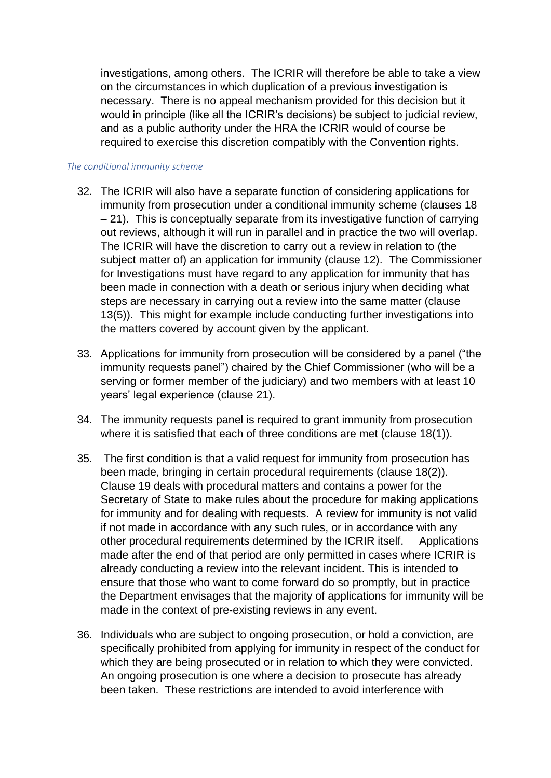investigations, among others. The ICRIR will therefore be able to take a view on the circumstances in which duplication of a previous investigation is necessary. There is no appeal mechanism provided for this decision but it would in principle (like all the ICRIR's decisions) be subject to judicial review, and as a public authority under the HRA the ICRIR would of course be required to exercise this discretion compatibly with the Convention rights.

#### *The conditional immunity scheme*

- 32. The ICRIR will also have a separate function of considering applications for immunity from prosecution under a conditional immunity scheme (clauses 18 – 21). This is conceptually separate from its investigative function of carrying out reviews, although it will run in parallel and in practice the two will overlap. The ICRIR will have the discretion to carry out a review in relation to (the subject matter of) an application for immunity (clause 12). The Commissioner for Investigations must have regard to any application for immunity that has been made in connection with a death or serious injury when deciding what steps are necessary in carrying out a review into the same matter (clause 13(5)). This might for example include conducting further investigations into the matters covered by account given by the applicant.
- 33. Applications for immunity from prosecution will be considered by a panel ("the immunity requests panel") chaired by the Chief Commissioner (who will be a serving or former member of the judiciary) and two members with at least 10 years' legal experience (clause 21).
- 34. The immunity requests panel is required to grant immunity from prosecution where it is satisfied that each of three conditions are met (clause 18(1)).
- 35. The first condition is that a valid request for immunity from prosecution has been made, bringing in certain procedural requirements (clause 18(2)). Clause 19 deals with procedural matters and contains a power for the Secretary of State to make rules about the procedure for making applications for immunity and for dealing with requests. A review for immunity is not valid if not made in accordance with any such rules, or in accordance with any other procedural requirements determined by the ICRIR itself. Applications made after the end of that period are only permitted in cases where ICRIR is already conducting a review into the relevant incident. This is intended to ensure that those who want to come forward do so promptly, but in practice the Department envisages that the majority of applications for immunity will be made in the context of pre-existing reviews in any event.
- 36. Individuals who are subject to ongoing prosecution, or hold a conviction, are specifically prohibited from applying for immunity in respect of the conduct for which they are being prosecuted or in relation to which they were convicted. An ongoing prosecution is one where a decision to prosecute has already been taken. These restrictions are intended to avoid interference with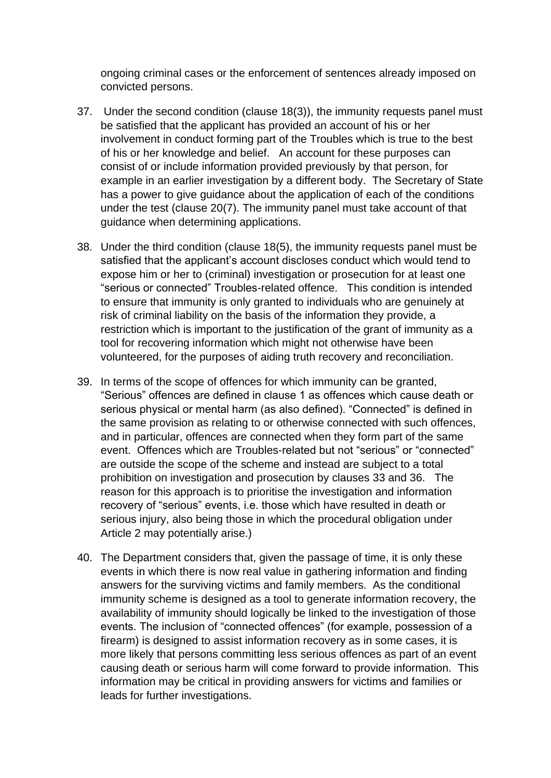ongoing criminal cases or the enforcement of sentences already imposed on convicted persons.

- 37. Under the second condition (clause 18(3)), the immunity requests panel must be satisfied that the applicant has provided an account of his or her involvement in conduct forming part of the Troubles which is true to the best of his or her knowledge and belief. An account for these purposes can consist of or include information provided previously by that person, for example in an earlier investigation by a different body. The Secretary of State has a power to give guidance about the application of each of the conditions under the test (clause 20(7). The immunity panel must take account of that guidance when determining applications.
- 38. Under the third condition (clause 18(5), the immunity requests panel must be satisfied that the applicant's account discloses conduct which would tend to expose him or her to (criminal) investigation or prosecution for at least one "serious or connected" Troubles-related offence. This condition is intended to ensure that immunity is only granted to individuals who are genuinely at risk of criminal liability on the basis of the information they provide, a restriction which is important to the justification of the grant of immunity as a tool for recovering information which might not otherwise have been volunteered, for the purposes of aiding truth recovery and reconciliation.
- 39. In terms of the scope of offences for which immunity can be granted, "Serious" offences are defined in clause 1 as offences which cause death or serious physical or mental harm (as also defined). "Connected" is defined in the same provision as relating to or otherwise connected with such offences, and in particular, offences are connected when they form part of the same event. Offences which are Troubles-related but not "serious" or "connected" are outside the scope of the scheme and instead are subject to a total prohibition on investigation and prosecution by clauses 33 and 36. The reason for this approach is to prioritise the investigation and information recovery of "serious" events, i.e. those which have resulted in death or serious injury, also being those in which the procedural obligation under Article 2 may potentially arise.)
- 40. The Department considers that, given the passage of time, it is only these events in which there is now real value in gathering information and finding answers for the surviving victims and family members. As the conditional immunity scheme is designed as a tool to generate information recovery, the availability of immunity should logically be linked to the investigation of those events. The inclusion of "connected offences" (for example, possession of a firearm) is designed to assist information recovery as in some cases, it is more likely that persons committing less serious offences as part of an event causing death or serious harm will come forward to provide information. This information may be critical in providing answers for victims and families or leads for further investigations.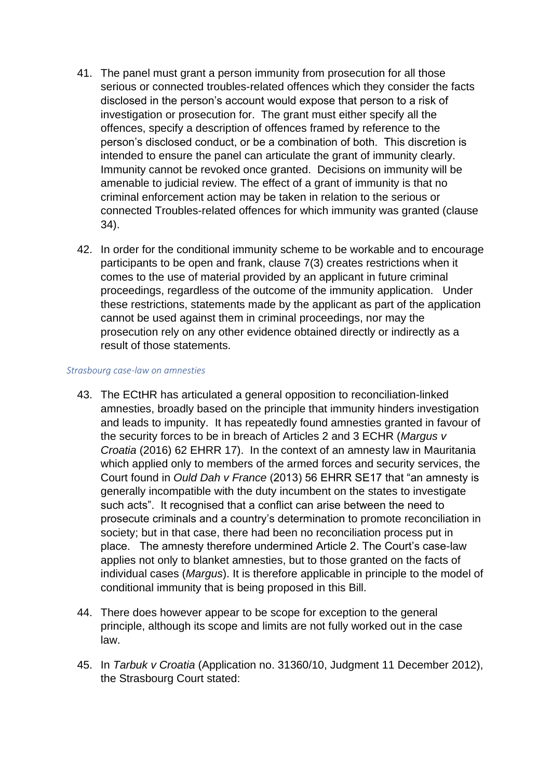- 41. The panel must grant a person immunity from prosecution for all those serious or connected troubles-related offences which they consider the facts disclosed in the person's account would expose that person to a risk of investigation or prosecution for. The grant must either specify all the offences, specify a description of offences framed by reference to the person's disclosed conduct, or be a combination of both. This discretion is intended to ensure the panel can articulate the grant of immunity clearly. Immunity cannot be revoked once granted. Decisions on immunity will be amenable to judicial review. The effect of a grant of immunity is that no criminal enforcement action may be taken in relation to the serious or connected Troubles-related offences for which immunity was granted (clause 34).
- 42. In order for the conditional immunity scheme to be workable and to encourage participants to be open and frank, clause 7(3) creates restrictions when it comes to the use of material provided by an applicant in future criminal proceedings, regardless of the outcome of the immunity application. Under these restrictions, statements made by the applicant as part of the application cannot be used against them in criminal proceedings, nor may the prosecution rely on any other evidence obtained directly or indirectly as a result of those statements.

#### *Strasbourg case-law on amnesties*

- 43. The ECtHR has articulated a general opposition to reconciliation-linked amnesties, broadly based on the principle that immunity hinders investigation and leads to impunity. It has repeatedly found amnesties granted in favour of the security forces to be in breach of Articles 2 and 3 ECHR (*Margus v Croatia* (2016) 62 EHRR 17). In the context of an amnesty law in Mauritania which applied only to members of the armed forces and security services, the Court found in *Ould Dah v France* (2013) 56 EHRR SE17 that "an amnesty is generally incompatible with the duty incumbent on the states to investigate such acts". It recognised that a conflict can arise between the need to prosecute criminals and a country's determination to promote reconciliation in society; but in that case, there had been no reconciliation process put in place. The amnesty therefore undermined Article 2. The Court's case-law applies not only to blanket amnesties, but to those granted on the facts of individual cases (*Margus*). It is therefore applicable in principle to the model of conditional immunity that is being proposed in this Bill.
- 44. There does however appear to be scope for exception to the general principle, although its scope and limits are not fully worked out in the case law.
- 45. In *Tarbuk v Croatia* (Application no. 31360/10, Judgment 11 December 2012), the Strasbourg Court stated: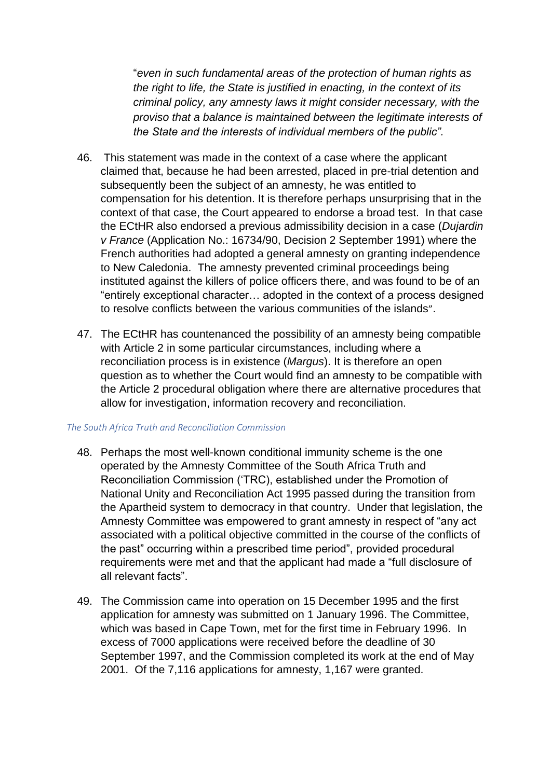"*even in such fundamental areas of the protection of human rights as the right to life, the State is justified in enacting, in the context of its criminal policy, any amnesty laws it might consider necessary, with the proviso that a balance is maintained between the legitimate interests of the State and the interests of individual members of the public".*

- 46. This statement was made in the context of a case where the applicant claimed that, because he had been arrested, placed in pre-trial detention and subsequently been the subject of an amnesty, he was entitled to compensation for his detention. It is therefore perhaps unsurprising that in the context of that case, the Court appeared to endorse a broad test. In that case the ECtHR also endorsed a previous admissibility decision in a case (*Dujardin v France* (Application No.: 16734/90, Decision 2 September 1991) where the French authorities had adopted a general amnesty on granting independence to New Caledonia. The amnesty prevented criminal proceedings being instituted against the killers of police officers there, and was found to be of an "entirely exceptional character… adopted in the context of a process designed to resolve conflicts between the various communities of the islands".
- 47. The ECtHR has countenanced the possibility of an amnesty being compatible with Article 2 in some particular circumstances, including where a reconciliation process is in existence (*Margus*). It is therefore an open question as to whether the Court would find an amnesty to be compatible with the Article 2 procedural obligation where there are alternative procedures that allow for investigation, information recovery and reconciliation.

#### *The South Africa Truth and Reconciliation Commission*

- 48. Perhaps the most well-known conditional immunity scheme is the one operated by the Amnesty Committee of the South Africa Truth and Reconciliation Commission ('TRC), established under the Promotion of National Unity and Reconciliation Act 1995 passed during the transition from the Apartheid system to democracy in that country. Under that legislation, the Amnesty Committee was empowered to grant amnesty in respect of "any act associated with a political objective committed in the course of the conflicts of the past" occurring within a prescribed time period", provided procedural requirements were met and that the applicant had made a "full disclosure of all relevant facts".
- 49. The Commission came into operation on 15 December 1995 and the first application for amnesty was submitted on 1 January 1996. The Committee, which was based in Cape Town, met for the first time in February 1996. In excess of 7000 applications were received before the deadline of 30 September 1997, and the Commission completed its work at the end of May 2001. Of the 7,116 applications for amnesty, 1,167 were granted.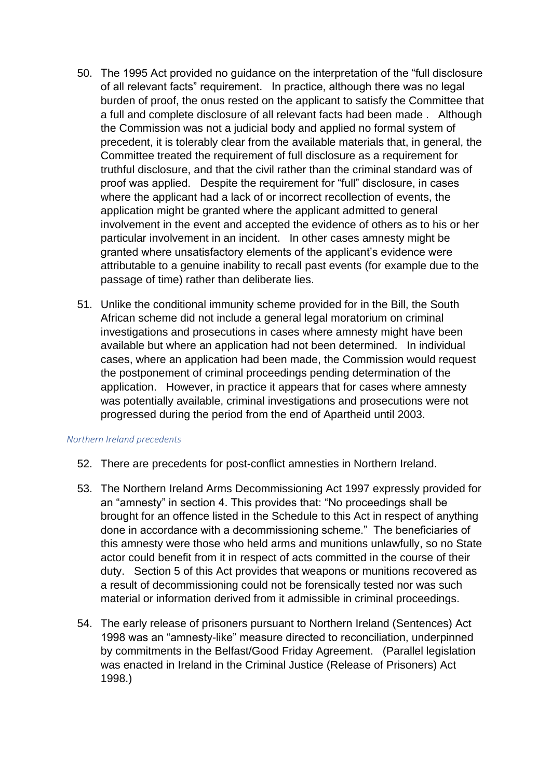- 50. The 1995 Act provided no guidance on the interpretation of the "full disclosure of all relevant facts" requirement. In practice, although there was no legal burden of proof, the onus rested on the applicant to satisfy the Committee that a full and complete disclosure of all relevant facts had been made . Although the Commission was not a judicial body and applied no formal system of precedent, it is tolerably clear from the available materials that, in general, the Committee treated the requirement of full disclosure as a requirement for truthful disclosure, and that the civil rather than the criminal standard was of proof was applied. Despite the requirement for "full" disclosure, in cases where the applicant had a lack of or incorrect recollection of events, the application might be granted where the applicant admitted to general involvement in the event and accepted the evidence of others as to his or her particular involvement in an incident. In other cases amnesty might be granted where unsatisfactory elements of the applicant's evidence were attributable to a genuine inability to recall past events (for example due to the passage of time) rather than deliberate lies.
- 51. Unlike the conditional immunity scheme provided for in the Bill, the South African scheme did not include a general legal moratorium on criminal investigations and prosecutions in cases where amnesty might have been available but where an application had not been determined. In individual cases, where an application had been made, the Commission would request the postponement of criminal proceedings pending determination of the application. However, in practice it appears that for cases where amnesty was potentially available, criminal investigations and prosecutions were not progressed during the period from the end of Apartheid until 2003.

#### *Northern Ireland precedents*

- 52. There are precedents for post-conflict amnesties in Northern Ireland.
- 53. The Northern Ireland Arms Decommissioning Act 1997 expressly provided for an "amnesty" in section 4. This provides that: "No proceedings shall be brought for an offence listed in the Schedule to this Act in respect of anything done in accordance with a decommissioning scheme." The beneficiaries of this amnesty were those who held arms and munitions unlawfully, so no State actor could benefit from it in respect of acts committed in the course of their duty. Section 5 of this Act provides that weapons or munitions recovered as a result of decommissioning could not be forensically tested nor was such material or information derived from it admissible in criminal proceedings.
- 54. The early release of prisoners pursuant to Northern Ireland (Sentences) Act 1998 was an "amnesty-like" measure directed to reconciliation, underpinned by commitments in the Belfast/Good Friday Agreement. (Parallel legislation was enacted in Ireland in the Criminal Justice (Release of Prisoners) Act 1998.)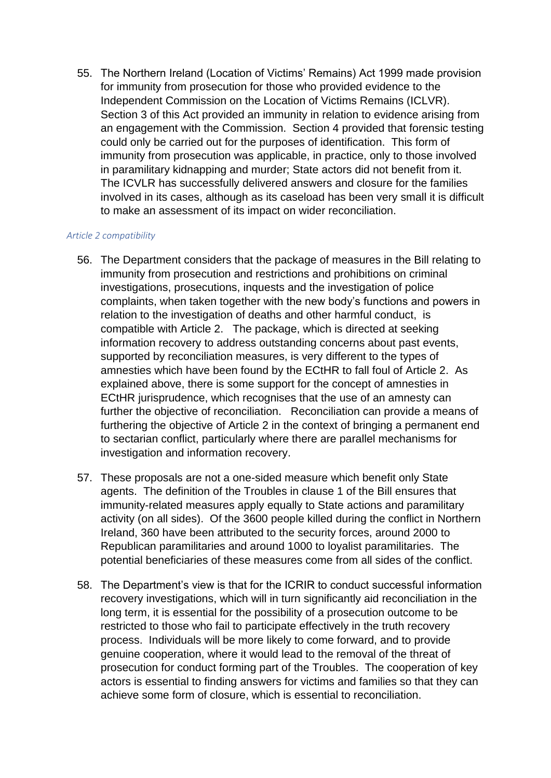55. The Northern Ireland (Location of Victims' Remains) Act 1999 made provision for immunity from prosecution for those who provided evidence to the Independent Commission on the Location of Victims Remains (ICLVR). Section 3 of this Act provided an immunity in relation to evidence arising from an engagement with the Commission. Section 4 provided that forensic testing could only be carried out for the purposes of identification. This form of immunity from prosecution was applicable, in practice, only to those involved in paramilitary kidnapping and murder; State actors did not benefit from it. The ICVLR has successfully delivered answers and closure for the families involved in its cases, although as its caseload has been very small it is difficult to make an assessment of its impact on wider reconciliation.

#### *Article 2 compatibility*

- 56. The Department considers that the package of measures in the Bill relating to immunity from prosecution and restrictions and prohibitions on criminal investigations, prosecutions, inquests and the investigation of police complaints, when taken together with the new body's functions and powers in relation to the investigation of deaths and other harmful conduct, is compatible with Article 2. The package, which is directed at seeking information recovery to address outstanding concerns about past events, supported by reconciliation measures, is very different to the types of amnesties which have been found by the ECtHR to fall foul of Article 2. As explained above, there is some support for the concept of amnesties in ECtHR jurisprudence, which recognises that the use of an amnesty can further the objective of reconciliation. Reconciliation can provide a means of furthering the objective of Article 2 in the context of bringing a permanent end to sectarian conflict, particularly where there are parallel mechanisms for investigation and information recovery.
- 57. These proposals are not a one-sided measure which benefit only State agents. The definition of the Troubles in clause 1 of the Bill ensures that immunity-related measures apply equally to State actions and paramilitary activity (on all sides). Of the 3600 people killed during the conflict in Northern Ireland, 360 have been attributed to the security forces, around 2000 to Republican paramilitaries and around 1000 to loyalist paramilitaries. The potential beneficiaries of these measures come from all sides of the conflict.
- 58. The Department's view is that for the ICRIR to conduct successful information recovery investigations, which will in turn significantly aid reconciliation in the long term, it is essential for the possibility of a prosecution outcome to be restricted to those who fail to participate effectively in the truth recovery process. Individuals will be more likely to come forward, and to provide genuine cooperation, where it would lead to the removal of the threat of prosecution for conduct forming part of the Troubles. The cooperation of key actors is essential to finding answers for victims and families so that they can achieve some form of closure, which is essential to reconciliation.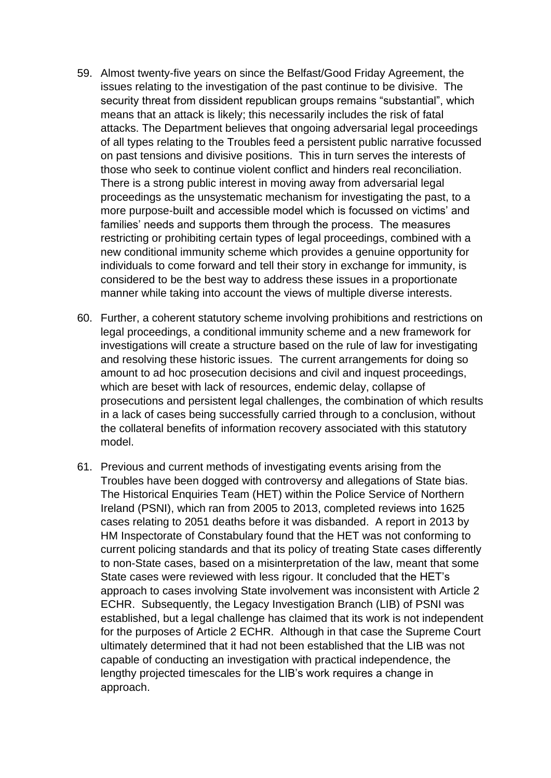- 59. Almost twenty-five years on since the Belfast/Good Friday Agreement, the issues relating to the investigation of the past continue to be divisive. The security threat from dissident republican groups remains "substantial", which means that an attack is likely; this necessarily includes the risk of fatal attacks. The Department believes that ongoing adversarial legal proceedings of all types relating to the Troubles feed a persistent public narrative focussed on past tensions and divisive positions. This in turn serves the interests of those who seek to continue violent conflict and hinders real reconciliation. There is a strong public interest in moving away from adversarial legal proceedings as the unsystematic mechanism for investigating the past, to a more purpose-built and accessible model which is focussed on victims' and families' needs and supports them through the process. The measures restricting or prohibiting certain types of legal proceedings, combined with a new conditional immunity scheme which provides a genuine opportunity for individuals to come forward and tell their story in exchange for immunity, is considered to be the best way to address these issues in a proportionate manner while taking into account the views of multiple diverse interests.
- 60. Further, a coherent statutory scheme involving prohibitions and restrictions on legal proceedings, a conditional immunity scheme and a new framework for investigations will create a structure based on the rule of law for investigating and resolving these historic issues. The current arrangements for doing so amount to ad hoc prosecution decisions and civil and inquest proceedings, which are beset with lack of resources, endemic delay, collapse of prosecutions and persistent legal challenges, the combination of which results in a lack of cases being successfully carried through to a conclusion, without the collateral benefits of information recovery associated with this statutory model.
- 61. Previous and current methods of investigating events arising from the Troubles have been dogged with controversy and allegations of State bias. The Historical Enquiries Team (HET) within the Police Service of Northern Ireland (PSNI), which ran from 2005 to 2013, completed reviews into 1625 cases relating to 2051 deaths before it was disbanded. A report in 2013 by HM Inspectorate of Constabulary found that the HET was not conforming to current policing standards and that its policy of treating State cases differently to non-State cases, based on a misinterpretation of the law, meant that some State cases were reviewed with less rigour. It concluded that the HET's approach to cases involving State involvement was inconsistent with Article 2 ECHR. Subsequently, the Legacy Investigation Branch (LIB) of PSNI was established, but a legal challenge has claimed that its work is not independent for the purposes of Article 2 ECHR. Although in that case the Supreme Court ultimately determined that it had not been established that the LIB was not capable of conducting an investigation with practical independence, the lengthy projected timescales for the LIB's work requires a change in approach.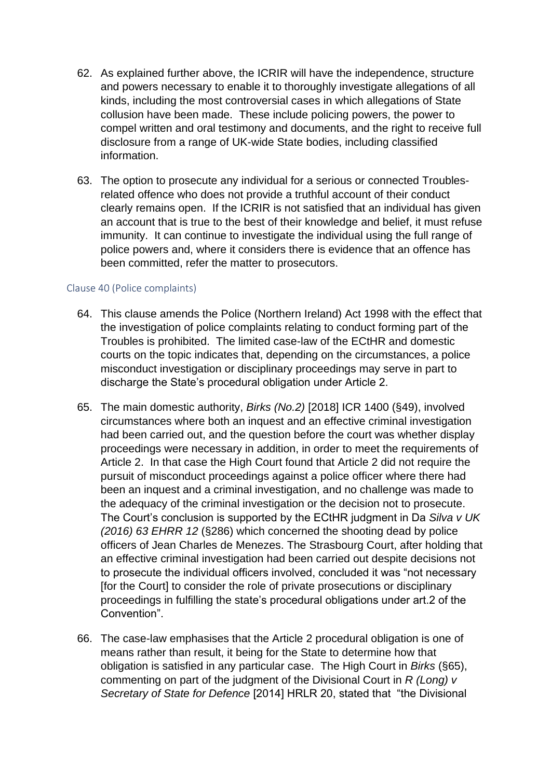- 62. As explained further above, the ICRIR will have the independence, structure and powers necessary to enable it to thoroughly investigate allegations of all kinds, including the most controversial cases in which allegations of State collusion have been made. These include policing powers, the power to compel written and oral testimony and documents, and the right to receive full disclosure from a range of UK-wide State bodies, including classified information.
- 63. The option to prosecute any individual for a serious or connected Troublesrelated offence who does not provide a truthful account of their conduct clearly remains open. If the ICRIR is not satisfied that an individual has given an account that is true to the best of their knowledge and belief, it must refuse immunity. It can continue to investigate the individual using the full range of police powers and, where it considers there is evidence that an offence has been committed, refer the matter to prosecutors.

#### Clause 40 (Police complaints)

- 64. This clause amends the Police (Northern Ireland) Act 1998 with the effect that the investigation of police complaints relating to conduct forming part of the Troubles is prohibited. The limited case-law of the ECtHR and domestic courts on the topic indicates that, depending on the circumstances, a police misconduct investigation or disciplinary proceedings may serve in part to discharge the State's procedural obligation under Article 2.
- 65. The main domestic authority, *Birks (No.2)* [2018] ICR 1400 (§49), involved circumstances where both an inquest and an effective criminal investigation had been carried out, and the question before the court was whether display proceedings were necessary in addition, in order to meet the requirements of Article 2. In that case the High Court found that Article 2 did not require the pursuit of misconduct proceedings against a police officer where there had been an inquest and a criminal investigation, and no challenge was made to the adequacy of the criminal investigation or the decision not to prosecute. The Court's conclusion is supported by the ECtHR judgment in Da *Silva v UK (2016) 63 EHRR 12* (§286) which concerned the shooting dead by police officers of Jean Charles de Menezes. The Strasbourg Court, after holding that an effective criminal investigation had been carried out despite decisions not to prosecute the individual officers involved, concluded it was "not necessary [for the Court] to consider the role of private prosecutions or disciplinary proceedings in fulfilling the state's procedural obligations under art.2 of the Convention".
- 66. The case-law emphasises that the Article 2 procedural obligation is one of means rather than result, it being for the State to determine how that obligation is satisfied in any particular case. The High Court in *Birks* (§65), commenting on part of the judgment of the Divisional Court in *R (Long) v Secretary of State for Defence* [2014] HRLR 20, stated that "the Divisional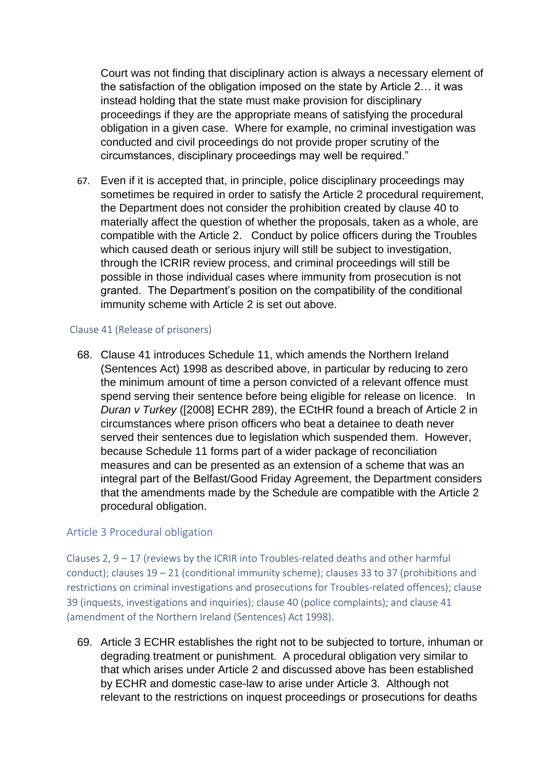Court was not finding that disciplinary action is always a necessary element of the satisfaction of the obligation imposed on the state by Article 2… it was instead holding that the state must make provision for disciplinary proceedings if they are the appropriate means of satisfying the procedural obligation in a given case. Where for example, no criminal investigation was conducted and civil proceedings do not provide proper scrutiny of the circumstances, disciplinary proceedings may well be required."

67. Even if it is accepted that, in principle, police disciplinary proceedings may sometimes be required in order to satisfy the Article 2 procedural requirement, the Department does not consider the prohibition created by clause 40 to materially affect the question of whether the proposals, taken as a whole, are compatible with the Article 2. Conduct by police officers during the Troubles which caused death or serious injury will still be subject to investigation, through the ICRIR review process, and criminal proceedings will still be possible in those individual cases where immunity from prosecution is not granted. The Department's position on the compatibility of the conditional immunity scheme with Article 2 is set out above.

#### Clause 41 (Release of prisoners)

68. Clause 41 introduces Schedule 11, which amends the Northern Ireland (Sentences Act) 1998 as described above, in particular by reducing to zero the minimum amount of time a person convicted of a relevant offence must spend serving their sentence before being eligible for release on licence. In *Duran v Turkey* ([2008] ECHR 289), the ECtHR found a breach of Article 2 in circumstances where prison officers who beat a detainee to death never served their sentences due to legislation which suspended them. However, because Schedule 11 forms part of a wider package of reconciliation measures and can be presented as an extension of a scheme that was an integral part of the Belfast/Good Friday Agreement, the Department considers that the amendments made by the Schedule are compatible with the Article 2 procedural obligation.

## Article 3 Procedural obligation

Clauses 2,  $9 - 17$  (reviews by the ICRIR into Troubles-related deaths and other harmful conduct); clauses  $19 - 21$  (conditional immunity scheme); clauses 33 to 37 (prohibitions and restrictions on criminal investigations and prosecutions for Troubles-related offences); clause 39 (inquests, investigations and inquiries); clause 40 (police complaints); and clause 41 (amendment of the Northern Ireland (Sentences) Act 1998).

69. Article 3 ECHR establishes the right not to be subjected to torture, inhuman or degrading treatment or punishment. A procedural obligation very similar to that which arises under Article 2 and discussed above has been established by ECHR and domestic case-law to arise under Article 3. Although not relevant to the restrictions on inquest proceedings or prosecutions for deaths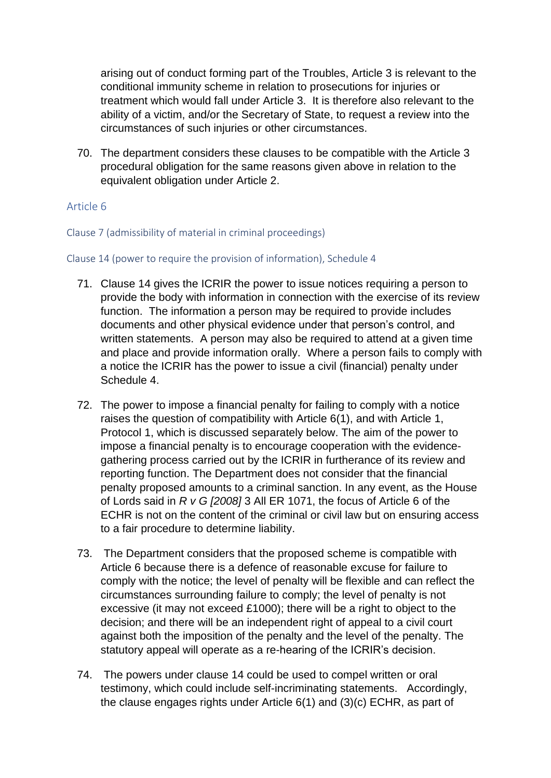arising out of conduct forming part of the Troubles, Article 3 is relevant to the conditional immunity scheme in relation to prosecutions for injuries or treatment which would fall under Article 3. It is therefore also relevant to the ability of a victim, and/or the Secretary of State, to request a review into the circumstances of such injuries or other circumstances.

70. The department considers these clauses to be compatible with the Article 3 procedural obligation for the same reasons given above in relation to the equivalent obligation under Article 2.

## Article 6

Clause 7 (admissibility of material in criminal proceedings)

#### Clause 14 (power to require the provision of information), Schedule 4

- 71. Clause 14 gives the ICRIR the power to issue notices requiring a person to provide the body with information in connection with the exercise of its review function. The information a person may be required to provide includes documents and other physical evidence under that person's control, and written statements. A person may also be required to attend at a given time and place and provide information orally. Where a person fails to comply with a notice the ICRIR has the power to issue a civil (financial) penalty under Schedule 4.
- 72. The power to impose a financial penalty for failing to comply with a notice raises the question of compatibility with Article 6(1), and with Article 1, Protocol 1, which is discussed separately below. The aim of the power to impose a financial penalty is to encourage cooperation with the evidencegathering process carried out by the ICRIR in furtherance of its review and reporting function. The Department does not consider that the financial penalty proposed amounts to a criminal sanction. In any event, as the House of Lords said in *R v G [2008]* 3 All ER 1071, the focus of Article 6 of the ECHR is not on the content of the criminal or civil law but on ensuring access to a fair procedure to determine liability.
- 73. The Department considers that the proposed scheme is compatible with Article 6 because there is a defence of reasonable excuse for failure to comply with the notice; the level of penalty will be flexible and can reflect the circumstances surrounding failure to comply; the level of penalty is not excessive (it may not exceed £1000); there will be a right to object to the decision; and there will be an independent right of appeal to a civil court against both the imposition of the penalty and the level of the penalty. The statutory appeal will operate as a re-hearing of the ICRIR's decision.
- 74. The powers under clause 14 could be used to compel written or oral testimony, which could include self-incriminating statements. Accordingly, the clause engages rights under Article 6(1) and (3)(c) ECHR, as part of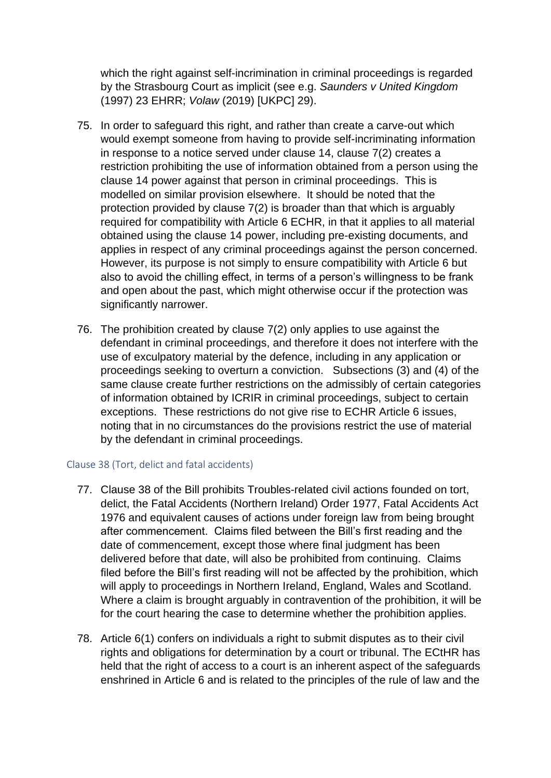which the right against self-incrimination in criminal proceedings is regarded by the Strasbourg Court as implicit (see e.g. *Saunders v United Kingdom* (1997) 23 EHRR; *Volaw* (2019) [UKPC] 29).

- 75. In order to safeguard this right, and rather than create a carve-out which would exempt someone from having to provide self-incriminating information in response to a notice served under clause 14, clause 7(2) creates a restriction prohibiting the use of information obtained from a person using the clause 14 power against that person in criminal proceedings. This is modelled on similar provision elsewhere. It should be noted that the protection provided by clause 7(2) is broader than that which is arguably required for compatibility with Article 6 ECHR, in that it applies to all material obtained using the clause 14 power, including pre-existing documents, and applies in respect of any criminal proceedings against the person concerned. However, its purpose is not simply to ensure compatibility with Article 6 but also to avoid the chilling effect, in terms of a person's willingness to be frank and open about the past, which might otherwise occur if the protection was significantly narrower.
- 76. The prohibition created by clause 7(2) only applies to use against the defendant in criminal proceedings, and therefore it does not interfere with the use of exculpatory material by the defence, including in any application or proceedings seeking to overturn a conviction. Subsections (3) and (4) of the same clause create further restrictions on the admissibly of certain categories of information obtained by ICRIR in criminal proceedings, subject to certain exceptions. These restrictions do not give rise to ECHR Article 6 issues, noting that in no circumstances do the provisions restrict the use of material by the defendant in criminal proceedings.

## Clause 38 (Tort, delict and fatal accidents)

- 77. Clause 38 of the Bill prohibits Troubles-related civil actions founded on tort, delict, the Fatal Accidents (Northern Ireland) Order 1977, Fatal Accidents Act 1976 and equivalent causes of actions under foreign law from being brought after commencement. Claims filed between the Bill's first reading and the date of commencement, except those where final judgment has been delivered before that date, will also be prohibited from continuing. Claims filed before the Bill's first reading will not be affected by the prohibition, which will apply to proceedings in Northern Ireland, England, Wales and Scotland. Where a claim is brought arguably in contravention of the prohibition, it will be for the court hearing the case to determine whether the prohibition applies.
- 78. Article 6(1) confers on individuals a right to submit disputes as to their civil rights and obligations for determination by a court or tribunal. The ECtHR has held that the right of access to a court is an inherent aspect of the safeguards enshrined in Article 6 and is related to the principles of the rule of law and the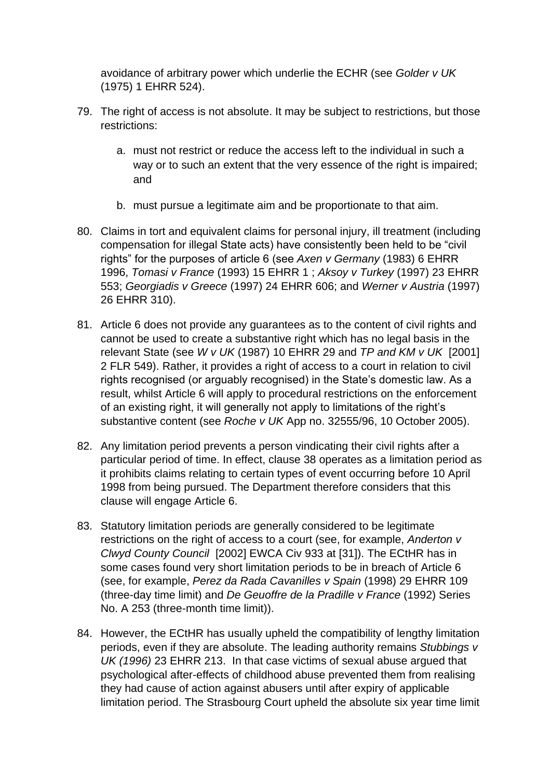avoidance of arbitrary power which underlie the ECHR (see *Golder v UK* (1975) 1 EHRR 524).

- 79. The right of access is not absolute. It may be subject to restrictions, but those restrictions:
	- a. must not restrict or reduce the access left to the individual in such a way or to such an extent that the very essence of the right is impaired; and
	- b. must pursue a legitimate aim and be proportionate to that aim.
- 80. Claims in tort and equivalent claims for personal injury, ill treatment (including compensation for illegal State acts) have consistently been held to be "civil rights" for the purposes of article 6 (see *Axen v Germany* (1983) 6 EHRR 1996, *Tomasi v France* (1993) 15 EHRR 1 ; *Aksoy v Turkey* (1997) 23 EHRR 553; *Georgiadis v Greece* (1997) 24 EHRR 606; and *Werner v Austria* (1997) 26 EHRR 310).
- 81. Article 6 does not provide any guarantees as to the content of civil rights and cannot be used to create a substantive right which has no legal basis in the relevant State (see *W v UK* (1987) 10 EHRR 29 and *TP and KM v UK* [2001] 2 FLR 549). Rather, it provides a right of access to a court in relation to civil rights recognised (or arguably recognised) in the State's domestic law. As a result, whilst Article 6 will apply to procedural restrictions on the enforcement of an existing right, it will generally not apply to limitations of the right's substantive content (see *Roche v UK* App no. 32555/96, 10 October 2005).
- 82. Any limitation period prevents a person vindicating their civil rights after a particular period of time. In effect, clause 38 operates as a limitation period as it prohibits claims relating to certain types of event occurring before 10 April 1998 from being pursued. The Department therefore considers that this clause will engage Article 6.
- 83. Statutory limitation periods are generally considered to be legitimate restrictions on the right of access to a court (see, for example, *Anderton v Clwyd County Council* [2002] EWCA Civ 933 at [31]). The ECtHR has in some cases found very short limitation periods to be in breach of Article 6 (see, for example, *Perez da Rada Cavanilles v Spain* (1998) 29 EHRR 109 (three-day time limit) and *De Geuoffre de la Pradille v France* (1992) Series No. A 253 (three-month time limit)).
- 84. However, the ECtHR has usually upheld the compatibility of lengthy limitation periods, even if they are absolute. The leading authority remains *Stubbings v UK (1996)* 23 EHRR 213. In that case victims of sexual abuse argued that psychological after-effects of childhood abuse prevented them from realising they had cause of action against abusers until after expiry of applicable limitation period. The Strasbourg Court upheld the absolute six year time limit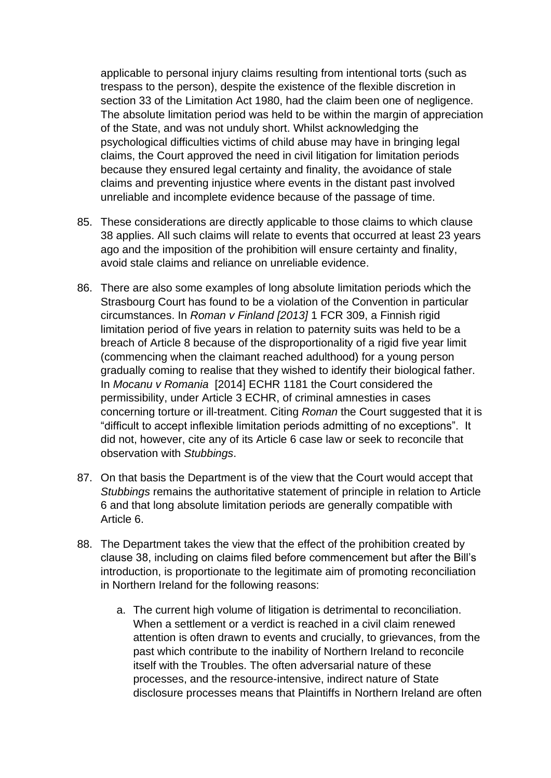applicable to personal injury claims resulting from intentional torts (such as trespass to the person), despite the existence of the flexible discretion in section 33 of the Limitation Act 1980, had the claim been one of negligence. The absolute limitation period was held to be within the margin of appreciation of the State, and was not unduly short. Whilst acknowledging the psychological difficulties victims of child abuse may have in bringing legal claims, the Court approved the need in civil litigation for limitation periods because they ensured legal certainty and finality, the avoidance of stale claims and preventing injustice where events in the distant past involved unreliable and incomplete evidence because of the passage of time.

- 85. These considerations are directly applicable to those claims to which clause 38 applies. All such claims will relate to events that occurred at least 23 years ago and the imposition of the prohibition will ensure certainty and finality, avoid stale claims and reliance on unreliable evidence.
- 86. There are also some examples of long absolute limitation periods which the Strasbourg Court has found to be a violation of the Convention in particular circumstances. In *Roman v Finland [2013]* 1 FCR 309, a Finnish rigid limitation period of five years in relation to paternity suits was held to be a breach of Article 8 because of the disproportionality of a rigid five year limit (commencing when the claimant reached adulthood) for a young person gradually coming to realise that they wished to identify their biological father. In *Mocanu v Romania* [2014] ECHR 1181 the Court considered the permissibility, under Article 3 ECHR, of criminal amnesties in cases concerning torture or ill-treatment. Citing *Roman* the Court suggested that it is "difficult to accept inflexible limitation periods admitting of no exceptions". It did not, however, cite any of its Article 6 case law or seek to reconcile that observation with *Stubbings*.
- 87. On that basis the Department is of the view that the Court would accept that *Stubbings* remains the authoritative statement of principle in relation to Article 6 and that long absolute limitation periods are generally compatible with Article 6.
- 88. The Department takes the view that the effect of the prohibition created by clause 38, including on claims filed before commencement but after the Bill's introduction, is proportionate to the legitimate aim of promoting reconciliation in Northern Ireland for the following reasons:
	- a. The current high volume of litigation is detrimental to reconciliation. When a settlement or a verdict is reached in a civil claim renewed attention is often drawn to events and crucially, to grievances, from the past which contribute to the inability of Northern Ireland to reconcile itself with the Troubles. The often adversarial nature of these processes, and the resource-intensive, indirect nature of State disclosure processes means that Plaintiffs in Northern Ireland are often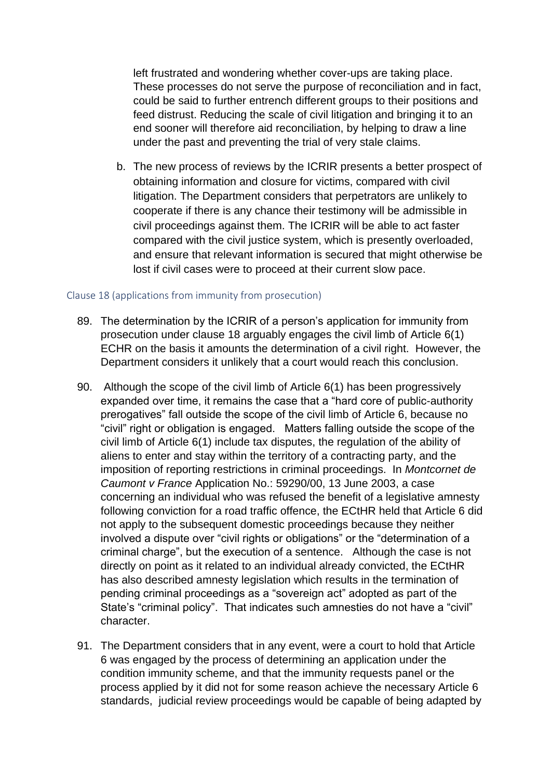left frustrated and wondering whether cover-ups are taking place. These processes do not serve the purpose of reconciliation and in fact, could be said to further entrench different groups to their positions and feed distrust. Reducing the scale of civil litigation and bringing it to an end sooner will therefore aid reconciliation, by helping to draw a line under the past and preventing the trial of very stale claims.

b. The new process of reviews by the ICRIR presents a better prospect of obtaining information and closure for victims, compared with civil litigation. The Department considers that perpetrators are unlikely to cooperate if there is any chance their testimony will be admissible in civil proceedings against them. The ICRIR will be able to act faster compared with the civil justice system, which is presently overloaded, and ensure that relevant information is secured that might otherwise be lost if civil cases were to proceed at their current slow pace.

#### Clause 18 (applications from immunity from prosecution)

- 89. The determination by the ICRIR of a person's application for immunity from prosecution under clause 18 arguably engages the civil limb of Article 6(1) ECHR on the basis it amounts the determination of a civil right. However, the Department considers it unlikely that a court would reach this conclusion.
- 90. Although the scope of the civil limb of Article 6(1) has been progressively expanded over time, it remains the case that a "hard core of public-authority prerogatives" fall outside the scope of the civil limb of Article 6, because no "civil" right or obligation is engaged. Matters falling outside the scope of the civil limb of Article 6(1) include tax disputes, the regulation of the ability of aliens to enter and stay within the territory of a contracting party, and the imposition of reporting restrictions in criminal proceedings. In *Montcornet de Caumont v France* Application No.: 59290/00, 13 June 2003, a case concerning an individual who was refused the benefit of a legislative amnesty following conviction for a road traffic offence, the ECtHR held that Article 6 did not apply to the subsequent domestic proceedings because they neither involved a dispute over "civil rights or obligations" or the "determination of a criminal charge", but the execution of a sentence. Although the case is not directly on point as it related to an individual already convicted, the ECtHR has also described amnesty legislation which results in the termination of pending criminal proceedings as a "sovereign act" adopted as part of the State's "criminal policy". That indicates such amnesties do not have a "civil" character.
- 91. The Department considers that in any event, were a court to hold that Article 6 was engaged by the process of determining an application under the condition immunity scheme, and that the immunity requests panel or the process applied by it did not for some reason achieve the necessary Article 6 standards, judicial review proceedings would be capable of being adapted by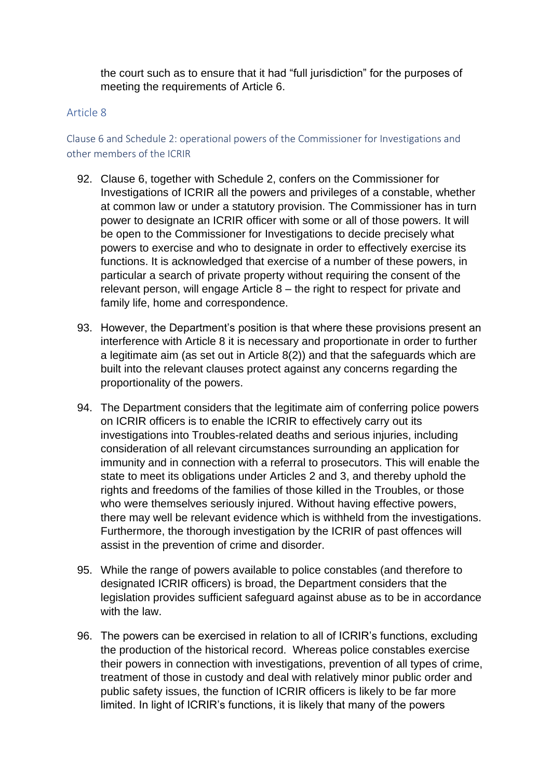the court such as to ensure that it had "full jurisdiction" for the purposes of meeting the requirements of Article 6.

## Article 8

Clause 6 and Schedule 2: operational powers of the Commissioner for Investigations and other members of the ICRIR

- 92. Clause 6, together with Schedule 2, confers on the Commissioner for Investigations of ICRIR all the powers and privileges of a constable, whether at common law or under a statutory provision. The Commissioner has in turn power to designate an ICRIR officer with some or all of those powers. It will be open to the Commissioner for Investigations to decide precisely what powers to exercise and who to designate in order to effectively exercise its functions. It is acknowledged that exercise of a number of these powers, in particular a search of private property without requiring the consent of the relevant person, will engage Article 8 – the right to respect for private and family life, home and correspondence.
- 93. However, the Department's position is that where these provisions present an interference with Article 8 it is necessary and proportionate in order to further a legitimate aim (as set out in Article 8(2)) and that the safeguards which are built into the relevant clauses protect against any concerns regarding the proportionality of the powers.
- 94. The Department considers that the legitimate aim of conferring police powers on ICRIR officers is to enable the ICRIR to effectively carry out its investigations into Troubles-related deaths and serious injuries, including consideration of all relevant circumstances surrounding an application for immunity and in connection with a referral to prosecutors. This will enable the state to meet its obligations under Articles 2 and 3, and thereby uphold the rights and freedoms of the families of those killed in the Troubles, or those who were themselves seriously injured. Without having effective powers, there may well be relevant evidence which is withheld from the investigations. Furthermore, the thorough investigation by the ICRIR of past offences will assist in the prevention of crime and disorder.
- 95. While the range of powers available to police constables (and therefore to designated ICRIR officers) is broad, the Department considers that the legislation provides sufficient safeguard against abuse as to be in accordance with the law.
- 96. The powers can be exercised in relation to all of ICRIR's functions, excluding the production of the historical record. Whereas police constables exercise their powers in connection with investigations, prevention of all types of crime, treatment of those in custody and deal with relatively minor public order and public safety issues, the function of ICRIR officers is likely to be far more limited. In light of ICRIR's functions, it is likely that many of the powers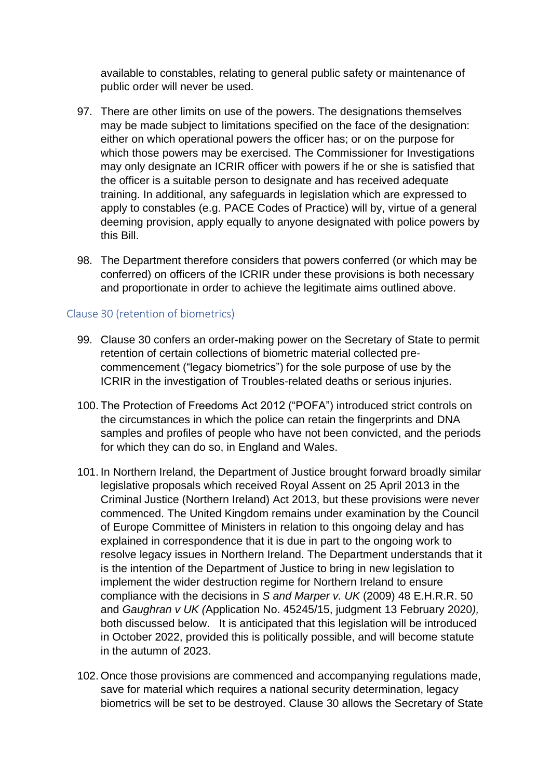available to constables, relating to general public safety or maintenance of public order will never be used.

- 97. There are other limits on use of the powers. The designations themselves may be made subject to limitations specified on the face of the designation: either on which operational powers the officer has; or on the purpose for which those powers may be exercised. The Commissioner for Investigations may only designate an ICRIR officer with powers if he or she is satisfied that the officer is a suitable person to designate and has received adequate training. In additional, any safeguards in legislation which are expressed to apply to constables (e.g. PACE Codes of Practice) will by, virtue of a general deeming provision, apply equally to anyone designated with police powers by this Bill.
- 98. The Department therefore considers that powers conferred (or which may be conferred) on officers of the ICRIR under these provisions is both necessary and proportionate in order to achieve the legitimate aims outlined above.

## Clause 30 (retention of biometrics)

- 99. Clause 30 confers an order-making power on the Secretary of State to permit retention of certain collections of biometric material collected precommencement ("legacy biometrics") for the sole purpose of use by the ICRIR in the investigation of Troubles-related deaths or serious injuries.
- 100. The Protection of Freedoms Act 2012 ("POFA") introduced strict controls on the circumstances in which the police can retain the fingerprints and DNA samples and profiles of people who have not been convicted, and the periods for which they can do so, in England and Wales.
- 101. In Northern Ireland, the Department of Justice brought forward broadly similar legislative proposals which received Royal Assent on 25 April 2013 in the Criminal Justice (Northern Ireland) Act 2013, but these provisions were never commenced. The United Kingdom remains under examination by the Council of Europe Committee of Ministers in relation to this ongoing delay and has explained in correspondence that it is due in part to the ongoing work to resolve legacy issues in Northern Ireland. The Department understands that it is the intention of the Department of Justice to bring in new legislation to implement the wider destruction regime for Northern Ireland to ensure compliance with the decisions in *S and Marper v. UK* (2009) 48 E.H.R.R. 50 and *Gaughran v UK (*Application No. 45245/15, judgment 13 February 2020*),*  both discussed below. It is anticipated that this legislation will be introduced in October 2022, provided this is politically possible, and will become statute in the autumn of 2023.
- 102. Once those provisions are commenced and accompanying regulations made, save for material which requires a national security determination, legacy biometrics will be set to be destroyed. Clause 30 allows the Secretary of State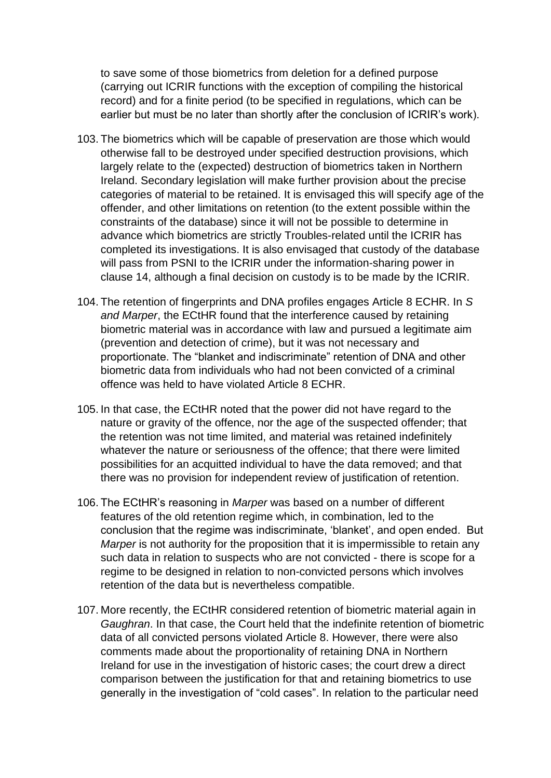to save some of those biometrics from deletion for a defined purpose (carrying out ICRIR functions with the exception of compiling the historical record) and for a finite period (to be specified in regulations, which can be earlier but must be no later than shortly after the conclusion of ICRIR's work).

- 103. The biometrics which will be capable of preservation are those which would otherwise fall to be destroyed under specified destruction provisions, which largely relate to the (expected) destruction of biometrics taken in Northern Ireland. Secondary legislation will make further provision about the precise categories of material to be retained. It is envisaged this will specify age of the offender, and other limitations on retention (to the extent possible within the constraints of the database) since it will not be possible to determine in advance which biometrics are strictly Troubles-related until the ICRIR has completed its investigations. It is also envisaged that custody of the database will pass from PSNI to the ICRIR under the information-sharing power in clause 14, although a final decision on custody is to be made by the ICRIR.
- 104. The retention of fingerprints and DNA profiles engages Article 8 ECHR. In *S and Marper*, the ECtHR found that the interference caused by retaining biometric material was in accordance with law and pursued a legitimate aim (prevention and detection of crime), but it was not necessary and proportionate. The "blanket and indiscriminate" retention of DNA and other biometric data from individuals who had not been convicted of a criminal offence was held to have violated Article 8 ECHR.
- 105. In that case, the ECtHR noted that the power did not have regard to the nature or gravity of the offence, nor the age of the suspected offender; that the retention was not time limited, and material was retained indefinitely whatever the nature or seriousness of the offence; that there were limited possibilities for an acquitted individual to have the data removed; and that there was no provision for independent review of justification of retention.
- 106. The ECtHR's reasoning in *Marper* was based on a number of different features of the old retention regime which, in combination, led to the conclusion that the regime was indiscriminate, 'blanket', and open ended. But *Marper* is not authority for the proposition that it is impermissible to retain any such data in relation to suspects who are not convicted - there is scope for a regime to be designed in relation to non-convicted persons which involves retention of the data but is nevertheless compatible.
- 107. More recently, the ECtHR considered retention of biometric material again in *Gaughran*. In that case, the Court held that the indefinite retention of biometric data of all convicted persons violated Article 8. However, there were also comments made about the proportionality of retaining DNA in Northern Ireland for use in the investigation of historic cases; the court drew a direct comparison between the justification for that and retaining biometrics to use generally in the investigation of "cold cases". In relation to the particular need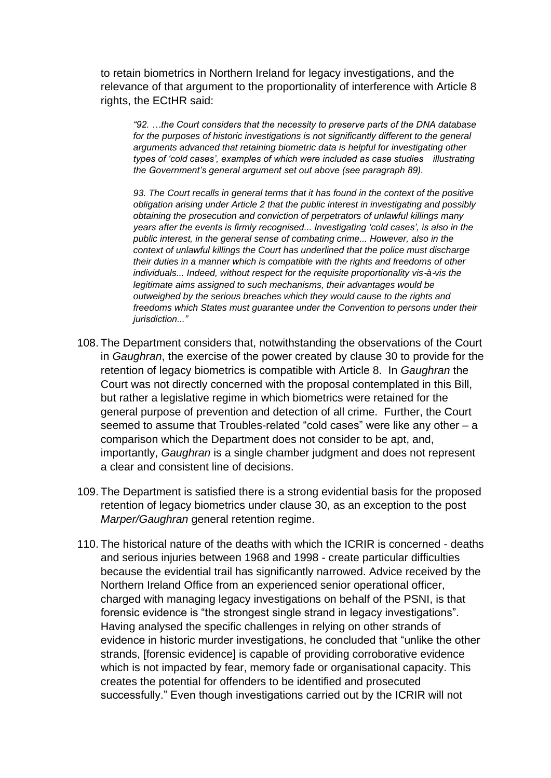to retain biometrics in Northern Ireland for legacy investigations, and the relevance of that argument to the proportionality of interference with Article 8 rights, the ECtHR said:

*"92. …the Court considers that the necessity to preserve parts of the DNA database for the purposes of historic investigations is not significantly different to the general arguments advanced that retaining biometric data is helpful for investigating other types of 'cold cases', examples of which were included as case studies illustrating the Government's general argument set out above (see paragraph 89).*

*93. The Court recalls in general terms that it has found in the context of the positive obligation arising under Article 2 that the public interest in investigating and possibly obtaining the prosecution and conviction of perpetrators of unlawful killings many years after the events is firmly recognised... Investigating 'cold cases', is also in the public interest, in the general sense of combating crime... However, also in the context of unlawful killings the Court has underlined that the police must discharge their duties in a manner which is compatible with the rights and freedoms of other individuals... Indeed, without respect for the requisite proportionality vis-à-vis the legitimate aims assigned to such mechanisms, their advantages would be outweighed by the serious breaches which they would cause to the rights and freedoms which States must guarantee under the Convention to persons under their jurisdiction..."*

- 108. The Department considers that, notwithstanding the observations of the Court in *Gaughran*, the exercise of the power created by clause 30 to provide for the retention of legacy biometrics is compatible with Article 8. In *Gaughran* the Court was not directly concerned with the proposal contemplated in this Bill, but rather a legislative regime in which biometrics were retained for the general purpose of prevention and detection of all crime. Further, the Court seemed to assume that Troubles-related "cold cases" were like any other – a comparison which the Department does not consider to be apt, and, importantly, *Gaughran* is a single chamber judgment and does not represent a clear and consistent line of decisions.
- 109. The Department is satisfied there is a strong evidential basis for the proposed retention of legacy biometrics under clause 30, as an exception to the post *Marper/Gaughran* general retention regime.
- 110. The historical nature of the deaths with which the ICRIR is concerned deaths and serious injuries between 1968 and 1998 - create particular difficulties because the evidential trail has significantly narrowed. Advice received by the Northern Ireland Office from an experienced senior operational officer, charged with managing legacy investigations on behalf of the PSNI, is that forensic evidence is "the strongest single strand in legacy investigations". Having analysed the specific challenges in relying on other strands of evidence in historic murder investigations, he concluded that "unlike the other strands, [forensic evidence] is capable of providing corroborative evidence which is not impacted by fear, memory fade or organisational capacity. This creates the potential for offenders to be identified and prosecuted successfully." Even though investigations carried out by the ICRIR will not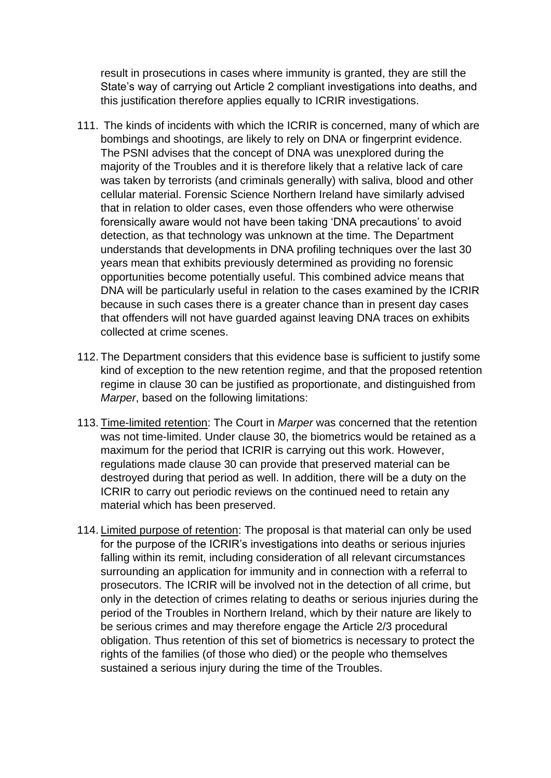result in prosecutions in cases where immunity is granted, they are still the State's way of carrying out Article 2 compliant investigations into deaths, and this justification therefore applies equally to ICRIR investigations.

- 111. The kinds of incidents with which the ICRIR is concerned, many of which are bombings and shootings, are likely to rely on DNA or fingerprint evidence. The PSNI advises that the concept of DNA was unexplored during the majority of the Troubles and it is therefore likely that a relative lack of care was taken by terrorists (and criminals generally) with saliva, blood and other cellular material. Forensic Science Northern Ireland have similarly advised that in relation to older cases, even those offenders who were otherwise forensically aware would not have been taking 'DNA precautions' to avoid detection, as that technology was unknown at the time. The Department understands that developments in DNA profiling techniques over the last 30 years mean that exhibits previously determined as providing no forensic opportunities become potentially useful. This combined advice means that DNA will be particularly useful in relation to the cases examined by the ICRIR because in such cases there is a greater chance than in present day cases that offenders will not have guarded against leaving DNA traces on exhibits collected at crime scenes.
- 112. The Department considers that this evidence base is sufficient to justify some kind of exception to the new retention regime, and that the proposed retention regime in clause 30 can be justified as proportionate, and distinguished from *Marper*, based on the following limitations:
- 113. Time-limited retention: The Court in *Marper* was concerned that the retention was not time-limited. Under clause 30, the biometrics would be retained as a maximum for the period that ICRIR is carrying out this work. However, regulations made clause 30 can provide that preserved material can be destroyed during that period as well. In addition, there will be a duty on the ICRIR to carry out periodic reviews on the continued need to retain any material which has been preserved.
- 114. Limited purpose of retention: The proposal is that material can only be used for the purpose of the ICRIR's investigations into deaths or serious injuries falling within its remit, including consideration of all relevant circumstances surrounding an application for immunity and in connection with a referral to prosecutors. The ICRIR will be involved not in the detection of all crime, but only in the detection of crimes relating to deaths or serious injuries during the period of the Troubles in Northern Ireland, which by their nature are likely to be serious crimes and may therefore engage the Article 2/3 procedural obligation. Thus retention of this set of biometrics is necessary to protect the rights of the families (of those who died) or the people who themselves sustained a serious injury during the time of the Troubles.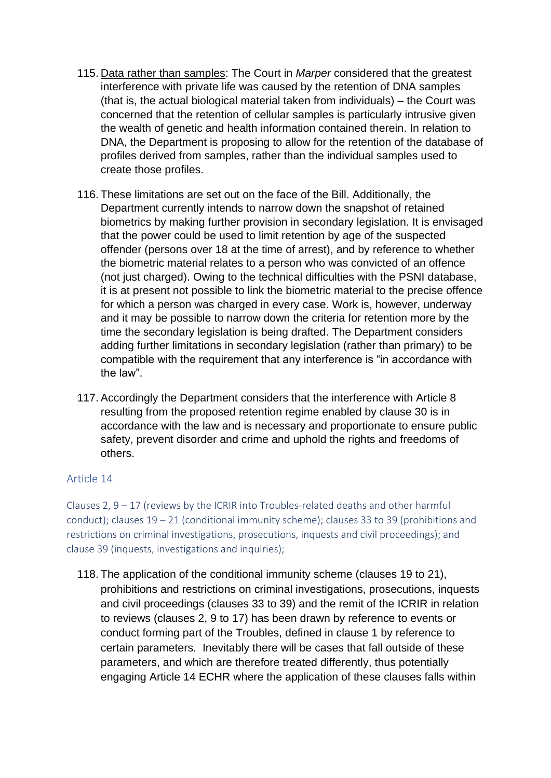- 115. Data rather than samples: The Court in *Marper* considered that the greatest interference with private life was caused by the retention of DNA samples (that is, the actual biological material taken from individuals) – the Court was concerned that the retention of cellular samples is particularly intrusive given the wealth of genetic and health information contained therein. In relation to DNA, the Department is proposing to allow for the retention of the database of profiles derived from samples, rather than the individual samples used to create those profiles.
- 116. These limitations are set out on the face of the Bill. Additionally, the Department currently intends to narrow down the snapshot of retained biometrics by making further provision in secondary legislation. It is envisaged that the power could be used to limit retention by age of the suspected offender (persons over 18 at the time of arrest), and by reference to whether the biometric material relates to a person who was convicted of an offence (not just charged). Owing to the technical difficulties with the PSNI database, it is at present not possible to link the biometric material to the precise offence for which a person was charged in every case. Work is, however, underway and it may be possible to narrow down the criteria for retention more by the time the secondary legislation is being drafted. The Department considers adding further limitations in secondary legislation (rather than primary) to be compatible with the requirement that any interference is "in accordance with the law".
- 117. Accordingly the Department considers that the interference with Article 8 resulting from the proposed retention regime enabled by clause 30 is in accordance with the law and is necessary and proportionate to ensure public safety, prevent disorder and crime and uphold the rights and freedoms of others.

## Article 14

Clauses 2,  $9 - 17$  (reviews by the ICRIR into Troubles-related deaths and other harmful conduct); clauses 19 – 21 (conditional immunity scheme); clauses 33 to 39 (prohibitions and restrictions on criminal investigations, prosecutions, inquests and civil proceedings); and clause 39 (inquests, investigations and inquiries);

118. The application of the conditional immunity scheme (clauses 19 to 21), prohibitions and restrictions on criminal investigations, prosecutions, inquests and civil proceedings (clauses 33 to 39) and the remit of the ICRIR in relation to reviews (clauses 2, 9 to 17) has been drawn by reference to events or conduct forming part of the Troubles, defined in clause 1 by reference to certain parameters. Inevitably there will be cases that fall outside of these parameters, and which are therefore treated differently, thus potentially engaging Article 14 ECHR where the application of these clauses falls within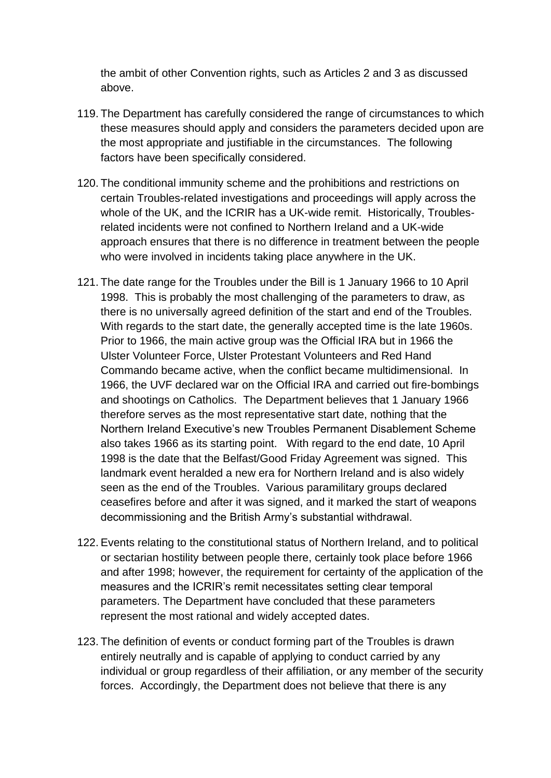the ambit of other Convention rights, such as Articles 2 and 3 as discussed above.

- 119. The Department has carefully considered the range of circumstances to which these measures should apply and considers the parameters decided upon are the most appropriate and justifiable in the circumstances. The following factors have been specifically considered.
- 120. The conditional immunity scheme and the prohibitions and restrictions on certain Troubles-related investigations and proceedings will apply across the whole of the UK, and the ICRIR has a UK-wide remit. Historically, Troublesrelated incidents were not confined to Northern Ireland and a UK-wide approach ensures that there is no difference in treatment between the people who were involved in incidents taking place anywhere in the UK.
- 121. The date range for the Troubles under the Bill is 1 January 1966 to 10 April 1998. This is probably the most challenging of the parameters to draw, as there is no universally agreed definition of the start and end of the Troubles. With regards to the start date, the generally accepted time is the late 1960s. Prior to 1966, the main active group was the Official IRA but in 1966 the Ulster Volunteer Force, Ulster Protestant Volunteers and Red Hand Commando became active, when the conflict became multidimensional. In 1966, the UVF declared war on the Official IRA and carried out fire-bombings and shootings on Catholics. The Department believes that 1 January 1966 therefore serves as the most representative start date, nothing that the Northern Ireland Executive's new Troubles Permanent Disablement Scheme also takes 1966 as its starting point. With regard to the end date, 10 April 1998 is the date that the Belfast/Good Friday Agreement was signed. This landmark event heralded a new era for Northern Ireland and is also widely seen as the end of the Troubles. Various paramilitary groups declared ceasefires before and after it was signed, and it marked the start of weapons decommissioning and the British Army's substantial withdrawal.
- 122. Events relating to the constitutional status of Northern Ireland, and to political or sectarian hostility between people there, certainly took place before 1966 and after 1998; however, the requirement for certainty of the application of the measures and the ICRIR's remit necessitates setting clear temporal parameters. The Department have concluded that these parameters represent the most rational and widely accepted dates.
- 123. The definition of events or conduct forming part of the Troubles is drawn entirely neutrally and is capable of applying to conduct carried by any individual or group regardless of their affiliation, or any member of the security forces. Accordingly, the Department does not believe that there is any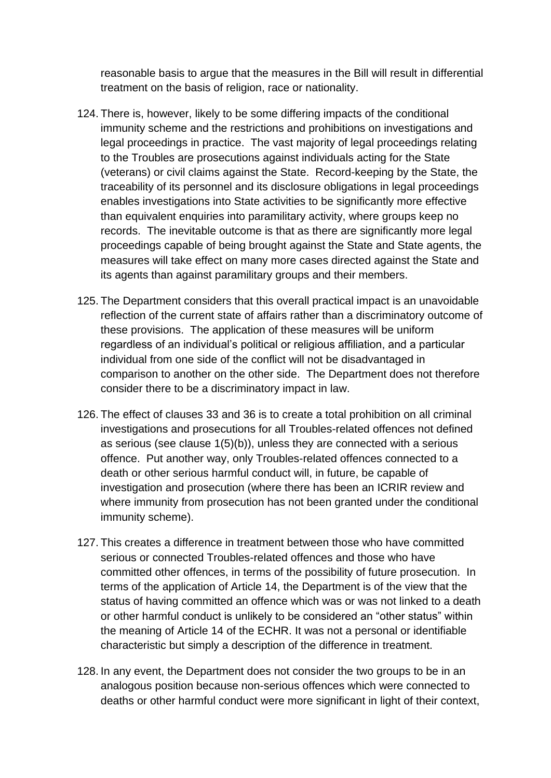reasonable basis to argue that the measures in the Bill will result in differential treatment on the basis of religion, race or nationality.

- 124. There is, however, likely to be some differing impacts of the conditional immunity scheme and the restrictions and prohibitions on investigations and legal proceedings in practice. The vast majority of legal proceedings relating to the Troubles are prosecutions against individuals acting for the State (veterans) or civil claims against the State. Record-keeping by the State, the traceability of its personnel and its disclosure obligations in legal proceedings enables investigations into State activities to be significantly more effective than equivalent enquiries into paramilitary activity, where groups keep no records. The inevitable outcome is that as there are significantly more legal proceedings capable of being brought against the State and State agents, the measures will take effect on many more cases directed against the State and its agents than against paramilitary groups and their members.
- 125. The Department considers that this overall practical impact is an unavoidable reflection of the current state of affairs rather than a discriminatory outcome of these provisions. The application of these measures will be uniform regardless of an individual's political or religious affiliation, and a particular individual from one side of the conflict will not be disadvantaged in comparison to another on the other side. The Department does not therefore consider there to be a discriminatory impact in law.
- 126. The effect of clauses 33 and 36 is to create a total prohibition on all criminal investigations and prosecutions for all Troubles-related offences not defined as serious (see clause 1(5)(b)), unless they are connected with a serious offence. Put another way, only Troubles-related offences connected to a death or other serious harmful conduct will, in future, be capable of investigation and prosecution (where there has been an ICRIR review and where immunity from prosecution has not been granted under the conditional immunity scheme).
- 127. This creates a difference in treatment between those who have committed serious or connected Troubles-related offences and those who have committed other offences, in terms of the possibility of future prosecution. In terms of the application of Article 14, the Department is of the view that the status of having committed an offence which was or was not linked to a death or other harmful conduct is unlikely to be considered an "other status" within the meaning of Article 14 of the ECHR. It was not a personal or identifiable characteristic but simply a description of the difference in treatment.
- 128. In any event, the Department does not consider the two groups to be in an analogous position because non-serious offences which were connected to deaths or other harmful conduct were more significant in light of their context,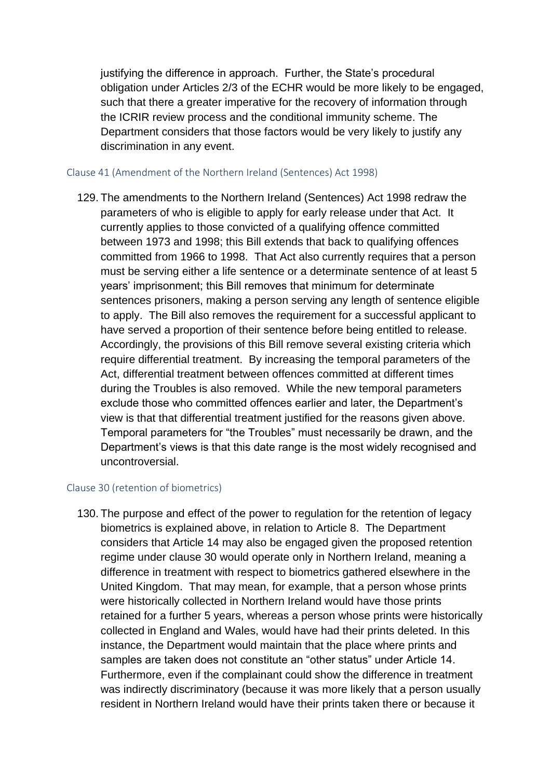justifying the difference in approach. Further, the State's procedural obligation under Articles 2/3 of the ECHR would be more likely to be engaged, such that there a greater imperative for the recovery of information through the ICRIR review process and the conditional immunity scheme. The Department considers that those factors would be very likely to justify any discrimination in any event.

#### Clause 41 (Amendment of the Northern Ireland (Sentences) Act 1998)

129. The amendments to the Northern Ireland (Sentences) Act 1998 redraw the parameters of who is eligible to apply for early release under that Act. It currently applies to those convicted of a qualifying offence committed between 1973 and 1998; this Bill extends that back to qualifying offences committed from 1966 to 1998. That Act also currently requires that a person must be serving either a life sentence or a determinate sentence of at least 5 years' imprisonment; this Bill removes that minimum for determinate sentences prisoners, making a person serving any length of sentence eligible to apply. The Bill also removes the requirement for a successful applicant to have served a proportion of their sentence before being entitled to release. Accordingly, the provisions of this Bill remove several existing criteria which require differential treatment. By increasing the temporal parameters of the Act, differential treatment between offences committed at different times during the Troubles is also removed. While the new temporal parameters exclude those who committed offences earlier and later, the Department's view is that that differential treatment justified for the reasons given above. Temporal parameters for "the Troubles" must necessarily be drawn, and the Department's views is that this date range is the most widely recognised and uncontroversial.

#### Clause 30 (retention of biometrics)

130. The purpose and effect of the power to regulation for the retention of legacy biometrics is explained above, in relation to Article 8. The Department considers that Article 14 may also be engaged given the proposed retention regime under clause 30 would operate only in Northern Ireland, meaning a difference in treatment with respect to biometrics gathered elsewhere in the United Kingdom. That may mean, for example, that a person whose prints were historically collected in Northern Ireland would have those prints retained for a further 5 years, whereas a person whose prints were historically collected in England and Wales, would have had their prints deleted. In this instance, the Department would maintain that the place where prints and samples are taken does not constitute an "other status" under Article 14. Furthermore, even if the complainant could show the difference in treatment was indirectly discriminatory (because it was more likely that a person usually resident in Northern Ireland would have their prints taken there or because it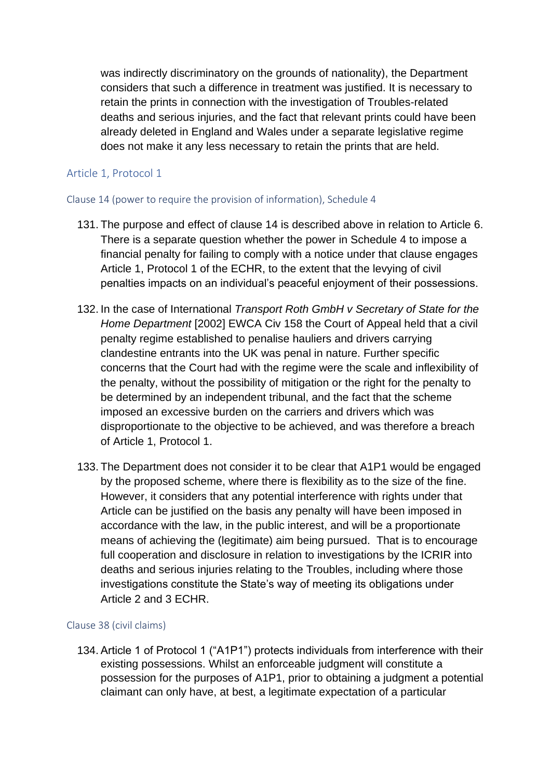was indirectly discriminatory on the grounds of nationality), the Department considers that such a difference in treatment was justified. It is necessary to retain the prints in connection with the investigation of Troubles-related deaths and serious injuries, and the fact that relevant prints could have been already deleted in England and Wales under a separate legislative regime does not make it any less necessary to retain the prints that are held.

## Article 1, Protocol 1

## Clause 14 (power to require the provision of information), Schedule 4

- 131. The purpose and effect of clause 14 is described above in relation to Article 6. There is a separate question whether the power in Schedule 4 to impose a financial penalty for failing to comply with a notice under that clause engages Article 1, Protocol 1 of the ECHR, to the extent that the levying of civil penalties impacts on an individual's peaceful enjoyment of their possessions.
- 132. In the case of International *Transport Roth GmbH v Secretary of State for the Home Department* [2002] EWCA Civ 158 the Court of Appeal held that a civil penalty regime established to penalise hauliers and drivers carrying clandestine entrants into the UK was penal in nature. Further specific concerns that the Court had with the regime were the scale and inflexibility of the penalty, without the possibility of mitigation or the right for the penalty to be determined by an independent tribunal, and the fact that the scheme imposed an excessive burden on the carriers and drivers which was disproportionate to the objective to be achieved, and was therefore a breach of Article 1, Protocol 1.
- 133. The Department does not consider it to be clear that A1P1 would be engaged by the proposed scheme, where there is flexibility as to the size of the fine. However, it considers that any potential interference with rights under that Article can be justified on the basis any penalty will have been imposed in accordance with the law, in the public interest, and will be a proportionate means of achieving the (legitimate) aim being pursued. That is to encourage full cooperation and disclosure in relation to investigations by the ICRIR into deaths and serious injuries relating to the Troubles, including where those investigations constitute the State's way of meeting its obligations under Article 2 and 3 ECHR.

## Clause 38 (civil claims)

134. Article 1 of Protocol 1 ("A1P1") protects individuals from interference with their existing possessions. Whilst an enforceable judgment will constitute a possession for the purposes of A1P1, prior to obtaining a judgment a potential claimant can only have, at best, a legitimate expectation of a particular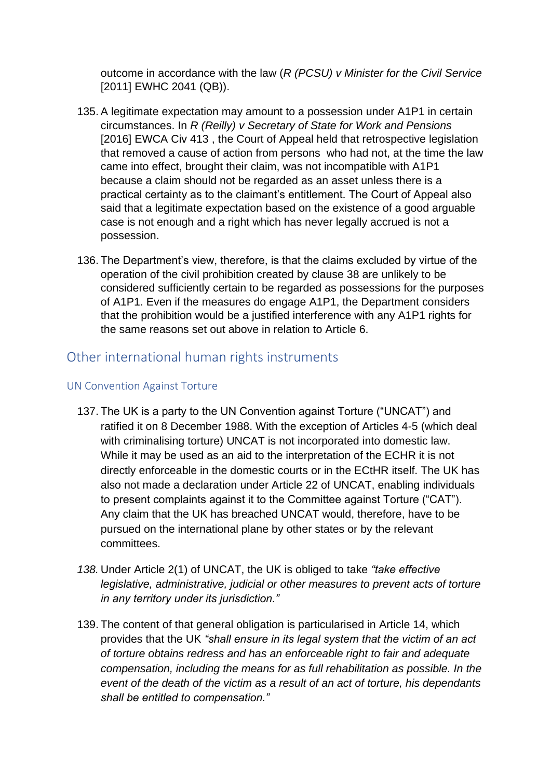outcome in accordance with the law (*R (PCSU) v Minister for the Civil Service* [2011] EWHC 2041 (QB)).

- 135. A legitimate expectation may amount to a possession under A1P1 in certain circumstances. In *R (Reilly) v Secretary of State for Work and Pensions* [2016] EWCA Civ 413, the Court of Appeal held that retrospective legislation that removed a cause of action from persons who had not, at the time the law came into effect, brought their claim, was not incompatible with A1P1 because a claim should not be regarded as an asset unless there is a practical certainty as to the claimant's entitlement. The Court of Appeal also said that a legitimate expectation based on the existence of a good arguable case is not enough and a right which has never legally accrued is not a possession.
- 136. The Department's view, therefore, is that the claims excluded by virtue of the operation of the civil prohibition created by clause 38 are unlikely to be considered sufficiently certain to be regarded as possessions for the purposes of A1P1. Even if the measures do engage A1P1, the Department considers that the prohibition would be a justified interference with any A1P1 rights for the same reasons set out above in relation to Article 6.

## Other international human rights instruments

## UN Convention Against Torture

- 137. The UK is a party to the UN Convention against Torture ("UNCAT") and ratified it on 8 December 1988. With the exception of Articles 4-5 (which deal with criminalising torture) UNCAT is not incorporated into domestic law. While it may be used as an aid to the interpretation of the ECHR it is not directly enforceable in the domestic courts or in the ECtHR itself. The UK has also not made a declaration under Article 22 of UNCAT, enabling individuals to present complaints against it to the Committee against Torture ("CAT"). Any claim that the UK has breached UNCAT would, therefore, have to be pursued on the international plane by other states or by the relevant committees.
- *138.* Under Article 2(1) of UNCAT, the UK is obliged to take *"take effective legislative, administrative, judicial or other measures to prevent acts of torture in any territory under its jurisdiction."*
- 139. The content of that general obligation is particularised in Article 14, which provides that the UK *"shall ensure in its legal system that the victim of an act of torture obtains redress and has an enforceable right to fair and adequate compensation, including the means for as full rehabilitation as possible. In the event of the death of the victim as a result of an act of torture, his dependants shall be entitled to compensation."*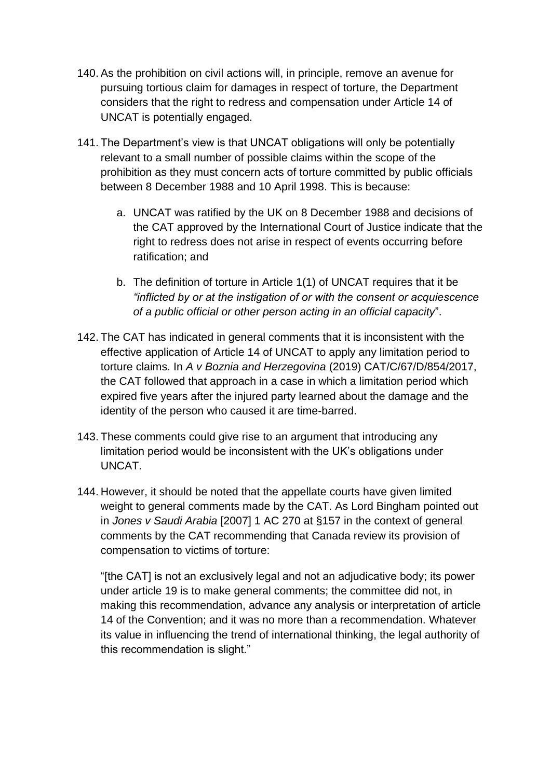- 140. As the prohibition on civil actions will, in principle, remove an avenue for pursuing tortious claim for damages in respect of torture, the Department considers that the right to redress and compensation under Article 14 of UNCAT is potentially engaged.
- 141. The Department's view is that UNCAT obligations will only be potentially relevant to a small number of possible claims within the scope of the prohibition as they must concern acts of torture committed by public officials between 8 December 1988 and 10 April 1998. This is because:
	- a. UNCAT was ratified by the UK on 8 December 1988 and decisions of the CAT approved by the International Court of Justice indicate that the right to redress does not arise in respect of events occurring before ratification; and
	- b. The definition of torture in Article 1(1) of UNCAT requires that it be *"inflicted by or at the instigation of or with the consent or acquiescence of a public official or other person acting in an official capacity*".
- 142. The CAT has indicated in general comments that it is inconsistent with the effective application of Article 14 of UNCAT to apply any limitation period to torture claims. In *A v Boznia and Herzegovina* (2019) CAT/C/67/D/854/2017, the CAT followed that approach in a case in which a limitation period which expired five years after the injured party learned about the damage and the identity of the person who caused it are time-barred.
- 143. These comments could give rise to an argument that introducing any limitation period would be inconsistent with the UK's obligations under UNCAT.
- 144. However, it should be noted that the appellate courts have given limited weight to general comments made by the CAT. As Lord Bingham pointed out in *Jones v Saudi Arabia* [2007] 1 AC 270 at §157 in the context of general comments by the CAT recommending that Canada review its provision of compensation to victims of torture:

"[the CAT] is not an exclusively legal and not an adjudicative body; its power under article 19 is to make general comments; the committee did not, in making this recommendation, advance any analysis or interpretation of article 14 of the Convention; and it was no more than a recommendation. Whatever its value in influencing the trend of international thinking, the legal authority of this recommendation is slight."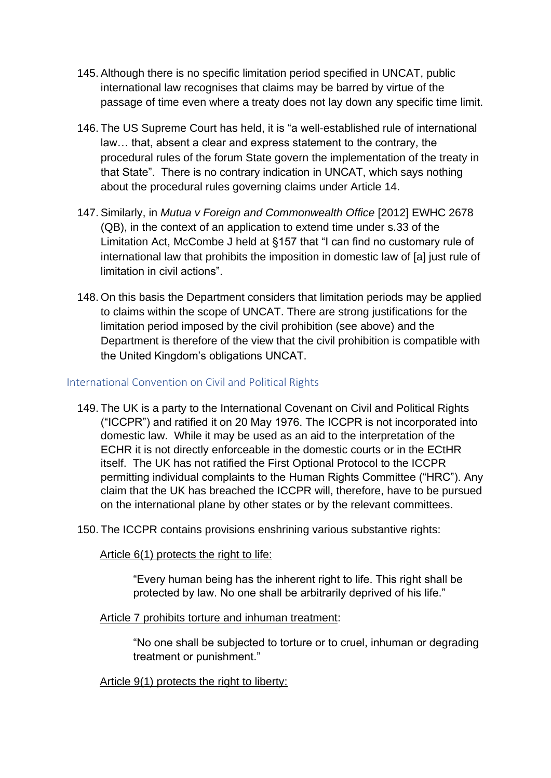- 145. Although there is no specific limitation period specified in UNCAT, public international law recognises that claims may be barred by virtue of the passage of time even where a treaty does not lay down any specific time limit.
- 146. The US Supreme Court has held, it is "a well-established rule of international law… that, absent a clear and express statement to the contrary, the procedural rules of the forum State govern the implementation of the treaty in that State". There is no contrary indication in UNCAT, which says nothing about the procedural rules governing claims under Article 14.
- 147. Similarly, in *Mutua v Foreign and Commonwealth Office* [2012] EWHC 2678 (QB), in the context of an application to extend time under s.33 of the Limitation Act, McCombe J held at §157 that "I can find no customary rule of international law that prohibits the imposition in domestic law of [a] just rule of limitation in civil actions".
- 148. On this basis the Department considers that limitation periods may be applied to claims within the scope of UNCAT. There are strong justifications for the limitation period imposed by the civil prohibition (see above) and the Department is therefore of the view that the civil prohibition is compatible with the United Kingdom's obligations UNCAT.

## International Convention on Civil and Political Rights

- 149. The UK is a party to the International Covenant on Civil and Political Rights ("ICCPR") and ratified it on 20 May 1976. The ICCPR is not incorporated into domestic law. While it may be used as an aid to the interpretation of the ECHR it is not directly enforceable in the domestic courts or in the ECtHR itself. The UK has not ratified the First Optional Protocol to the ICCPR permitting individual complaints to the Human Rights Committee ("HRC"). Any claim that the UK has breached the ICCPR will, therefore, have to be pursued on the international plane by other states or by the relevant committees.
- 150. The ICCPR contains provisions enshrining various substantive rights:

Article 6(1) protects the right to life:

"Every human being has the inherent right to life. This right shall be protected by law. No one shall be arbitrarily deprived of his life."

## Article 7 prohibits torture and inhuman treatment:

"No one shall be subjected to torture or to cruel, inhuman or degrading treatment or punishment."

Article 9(1) protects the right to liberty: